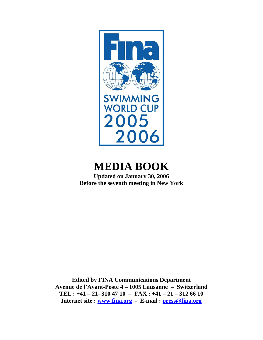

# **MEDIA BOOK**

**Updated on January 30, 2006 Before the seventh meeting in New York** 

**Edited by FINA Communications Department Avenue de l'Avant-Poste 4 – 1005 Lausanne – Switzerland TEL : +41 – 21- 310 47 10 – FAX : +41 – 21 – 312 66 10 Internet site : [www.fina.org](http://www.fina.org/) - E-mail : [press@fina.org](mailto:press@fina.org)**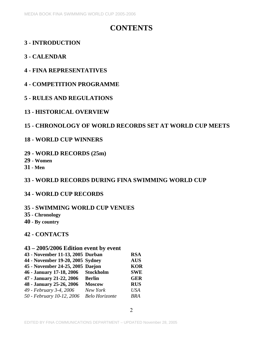# **CONTENTS**

# **3 - INTRODUCTION**

# **3 - CALENDAR**

# **4 - FINA REPRESENTATIVES**

# **4 - COMPETITION PROGRAMME**

## **5 - RULES AND REGULATIONS**

## **13 - HISTORICAL OVERVIEW**

# **15 - CHRONOLOGY OF WORLD RECORDS SET AT WORLD CUP MEETS**

## **18 - WORLD CUP WINNERS**

## **29 - WORLD RECORDS (25m)**

- **29 Women**
- **31 Men**

# **33 - WORLD RECORDS DURING FINA SWIMMING WORLD CUP**

## **34 - WORLD CUP RECORDS**

## **35 - SWIMMING WORLD CUP VENUES**

- **35 Chronology**
- **40 By country**

## **42 - CONTACTS**

## **43 – 2005/2006 Edition event by event**

| 43 - November 11-13, 2005 Durban |                       | <b>RSA</b> |
|----------------------------------|-----------------------|------------|
| 44 - November 19-20, 2005 Sydney |                       | <b>AUS</b> |
| 45 - November 24-25, 2005 Daejon |                       | <b>KOR</b> |
| 46 - January 17-18, 2006         | <b>Stockholm</b>      | <b>SWE</b> |
| 47 - January 21-22, 2006         | <b>Berlin</b>         | <b>GER</b> |
| 48 - January 25-26, 2006         | <b>Moscow</b>         | <b>RUS</b> |
| 49 - February 3-4, 2006          | New York              | <b>USA</b> |
| 50 - February 10-12, 2006        | <b>Belo Horizonte</b> | <b>BRA</b> |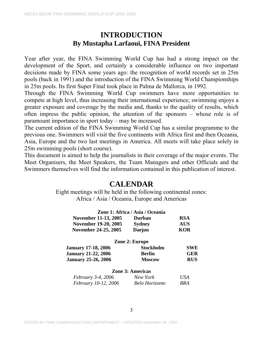# **INTRODUCTION By Mustapha Larfaoui, FINA President**

Year after year, the FINA Swimming World Cup has had a strong impact on the development of the Sport, and certainly a considerable influence on two important decisions made by FINA some years ago: the recognition of world records set in 25m pools (back in 1991) and the introduction of the FINA Swimming World Championships in 25m pools. Its first Super Final took place in Palma de Mallorca, in 1992.

Through the FINA Swimming World Cup swimmers have more opportunities to compete at high level, thus increasing their international experience; swimming enjoys a greater exposure and coverage by the media and, thanks to the quality of results, which often impress the public opinion, the attention of the sponsors – whose role is of paramount importance in sport today – may be increased.

The current edition of the FINA Swimming World Cup has a similar programme to the previous one. Swimmers will visit the five continents with Africa first and then Oceania, Asia, Europe and the two last meetings in America. All meets will take place solely in 25m swimming pools (short course).

This document is aimed to help the journalists in their coverage of the major events. The Meet Organisers, the Meet Speakers, the Team Managers and other Officials and the Swimmers themselves will find the information contained in this publication of interest.

# **CALENDAR**

Eight meetings will be held in the following continental zones: Africa / Asia / Oceania, Europe and Americas

|                             | Zone 1: Africa / Asia / Oceania |            |
|-----------------------------|---------------------------------|------------|
| <b>November 11-13, 2005</b> | <b>Durban</b>                   | <b>RSA</b> |
| November 19-20, 2005        | Sydney                          | <b>AUS</b> |
| November 24-25, 2005        | <b>Daejon</b>                   | <b>KOR</b> |
|                             | Zone 2: Europe                  |            |
| <b>January 17-18, 2006</b>  | <b>Stockholm</b>                | <b>SWE</b> |
| <b>January 21-22, 2006</b>  | <b>Berlin</b>                   | <b>GER</b> |
| <b>January 25-26, 2006</b>  | <b>Moscow</b>                   | <b>RUS</b> |
|                             | <b>Zone 3: Americas</b>         |            |
| <i>February 3-4, 2006</i>   | New York                        | USA        |
| February 10-12, 2006        | <b>Belo Horizonte</b>           | BRA        |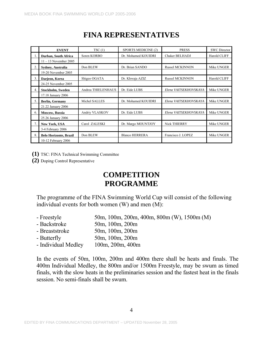|                | <b>EVENT</b>                  | TSC(1)             | SPORTS MEDICINE (2)   | <b>PRESS</b>           | <b>SWC</b> Director |
|----------------|-------------------------------|--------------------|-----------------------|------------------------|---------------------|
|                | Durban, South Africa          | Soren KORBO        | Dr. Mohamed KOUIDRI   | Chaker BELHADJ         | <b>Harold CLIFF</b> |
|                | $11 - 13$ November 2005       |                    |                       |                        |                     |
| 2.             | Sydney, Australia             | Don BLEW           | Dr. Brian SANDO       | <b>Russel MCKINNON</b> | Mike UNGER          |
|                | 19-20 November 2005           |                    |                       |                        |                     |
| 3.             | Daejeon, Korea                | Shigeo OGATA       | Dr. Khwaja AZIZ       | <b>Russel MCKINNON</b> | <b>Harold CLIFF</b> |
|                | 24-25 November 2005           |                    |                       |                        |                     |
| 4.             | Stockholm, Sweden             | Andrea THIELENHAUS | Dr. Eide LUBS         | Elena VAITSEKHOVSKAYA  | Mike UNGER          |
|                | 17.18 January 2006            |                    |                       |                        |                     |
| 5.             | <b>Berlin, Germany</b>        | Michel SALLES      | Dr. Mohamed KOUIDRI   | Elena VAITSEKHOVSKAYA  | Mike UNGER          |
|                | 21.22 January 2006            |                    |                       |                        |                     |
| 6.             | Moscow, Russia                | Andriy VLASKOV     | Dr. Eide LUBS         | Elena VAITSEKHOVSKAYA  | Mike UNGER          |
|                | 25.26 January 2006            |                    |                       |                        |                     |
| 7 <sub>1</sub> | New York, USA                 | Carol ZALESKI      | Dr. Margo MOUNTJOY    | <b>Nick THIERRY</b>    | Mike UNGER          |
|                | 3-4 February 2006             |                    |                       |                        |                     |
| 8.             | <b>Belo Horizonte, Brazil</b> | Don BLEW           | <b>Blanco HERRERA</b> | Francisco J. LOPEZ     | Mike UNGER          |
|                | 10-12 February 2006           |                    |                       |                        |                     |

# **FINA REPRESENTATIVES**

**(1)** TSC: FINA Technical Swimming Committee

**(2)** Doping Control Representative

# **COMPETITION PROGRAMME**

The programme of the FINA Swimming World Cup will consist of the following individual events for both women (W) and men (M):

- Freestyle 50m, 100m, 200m, 400m, 800m (W), 1500m (M)
- Backstroke 50m, 100m, 200m
- Breaststroke 50m, 100m, 200m
- Butterfly 50m, 100m, 200m
- Individual Medley 100m, 200m, 400m

In the events of 50m, 100m, 200m and 400m there shall be heats and finals. The 400m Individual Medley, the 800m and/or 1500m Freestyle, may be swum as timed finals, with the slow heats in the preliminaries session and the fastest heat in the finals session. No semi-finals shall be swum.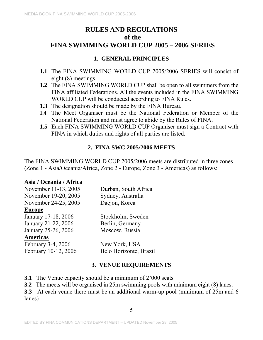# **RULES AND REGULATIONS of the FINA SWIMMING WORLD CUP 2005 – 2006 SERIES**

# **1. GENERAL PRINCIPLES**

- **1.1** The FINA SWIMMING WORLD CUP 2005/2006 SERIES will consist of eight (8) meetings.
- **1.2** The FINA SWIMMING WORLD CUP shall be open to all swimmers from the FINA affiliated Federations. All the events included in the FINA SWIMMING WORLD CUP will be conducted according to FINA Rules.
- **1.3** The designation should be made by the FINA Bureau.
- **1.4** The Meet Organiser must be the National Federation or Member of the National Federation and must agree to abide by the Rules of FINA.
- **1.5** Each FINA SWIMMING WORLD CUP Organiser must sign a Contract with FINA in which duties and rights of all parties are listed.

## **2. FINA SWC 2005/2006 MEETS**

The FINA SWIMMING WORLD CUP 2005/2006 meets are distributed in three zones (Zone 1 - Asia/Oceania/Africa, Zone 2 - Europe, Zone 3 - Americas) as follows:

## **Asia / Oceania / Africa**

| November 11-13, 2005 | Durban, South Africa   |
|----------------------|------------------------|
| November 19-20, 2005 | Sydney, Australia      |
| November 24-25, 2005 | Daejon, Korea          |
| <b>Europe</b>        |                        |
| January 17-18, 2006  | Stockholm, Sweden      |
| January 21-22, 2006  | Berlin, Germany        |
| January 25-26, 2006  | Moscow, Russia         |
| <b>Americas</b>      |                        |
| February 3-4, 2006   | New York, USA          |
| February 10-12, 2006 | Belo Horizonte, Brazil |
|                      | 3. VENUE REQUIREMENTS  |

- **3.1** The Venue capacity should be a minimum of 2'000 seats
- **3.2** The meets will be organised in 25m swimming pools with minimum eight (8) lanes.

**3.3** At each venue there must be an additional warm-up pool (minimum of 25m and 6 lanes)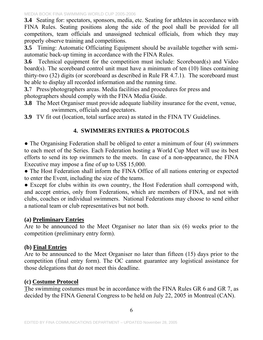**3.4** Seating for: spectators, sponsors, media, etc. Seating for athletes in accordance with FINA Rules. Seating positions along the side of the pool shall be provided for all competitors, team officials and unassigned technical officials, from which they may properly observe training and competitions.

**3.5** Timing: Automatic Officiating Equipment should be available together with semiautomatic back-up timing in accordance with the FINA Rules.

**3.6** Technical equipment for the competition must include: Scoreboard(s) and Video board(s). The scoreboard control unit must have a minimum of ten (10) lines containing thirty-two (32) digits (or scoreboard as described in Rule FR 4.7.1). The scoreboard must be able to display all recorded information and the running time.

**3.**7 Press/photographers areas. Media facilities and procedures for press and photographers should comply with the FINA Media Guide.

**3.8** The Meet Organiser must provide adequate liability insurance for the event, venue, swimmers, officials and spectators.

**3.9** TV fit out (location, total surface area) as stated in the FINA TV Guidelines.

# **4. SWIMMERS ENTRIES & PROTOCOLS**

• The Organising Federation shall be obliged to enter a minimum of four (4) swimmers to each meet of the Series. Each Federation hosting a World Cup Meet will use its best efforts to send its top swimmers to the meets. In case of a non-appearance, the FINA Executive may impose a fine of up to US\$ 15,000.

• The Host Federation shall inform the FINA Office of all nations entering or expected to enter the Event, including the size of the teams.

• Except for clubs within its own country, the Host Federation shall correspond with, and accept entries, only from Federations, which are members of FINA, and not with clubs, coaches or individual swimmers. National Federations may choose to send either a national team or club representatives but not both.

## **(a) Preliminary Entries**

Are to be announced to the Meet Organiser no later than six (6) weeks prior to the competition (preliminary entry form).

# **(b) Final Entries**

Are to be announced to the Meet Organiser no later than fifteen (15) days prior to the competition (final entry form). The OC cannot guarantee any logistical assistance for those delegations that do not meet this deadline.

# **(c) Costume Protocol**

The swimming costumes must be in accordance with the FINA Rules GR 6 and GR 7, as decided by the FINA General Congress to be held on July 22, 2005 in Montreal (CAN).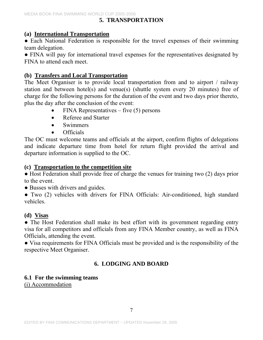# **5. TRANSPORTATION**

## **(a) International Transportation**

• Each National Federation is responsible for the travel expenses of their swimming team delegation.

• FINA will pay for international travel expenses for the representatives designated by FINA to attend each meet.

## **(b) Transfers and Local Transportation**

The Meet Organiser is to provide local transportation from and to airport / railway station and between hotel(s) and venue(s) (shuttle system every 20 minutes) free of charge for the following persons for the duration of the event and two days prior thereto, plus the day after the conclusion of the event:

- $FINA$  Representatives five (5) persons
- Referee and Starter
- Swimmers
- Officials

The OC must welcome teams and officials at the airport, confirm flights of delegations and indicate departure time from hotel for return flight provided the arrival and departure information is supplied to the OC.

## **(c) Transportation to the competition site**

● Host Federation shall provide free of charge the venues for training two (2) days prior to the event.

• Busses with drivers and guides.

• Two (2) vehicles with drivers for FINA Officials: Air-conditioned, high standard vehicles.

## **(d) Visas**

• The Host Federation shall make its best effort with its government regarding entry visa for all competitors and officials from any FINA Member country, as well as FINA Officials, attending the event.

● Visa requirements for FINA Officials must be provided and is the responsibility of the respective Meet Organiser.

# **6. LODGING AND BOARD**

# **6.1 For the swimming teams**

(i) Accommodation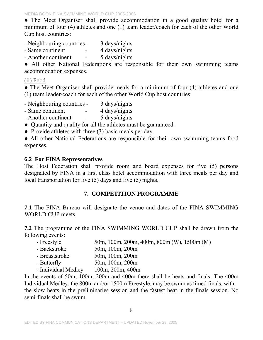● The Meet Organiser shall provide accommodation in a good quality hotel for a minimum of four (4) athletes and one (1) team leader/coach for each of the other World Cup host countries:

- Neighbouring countries 3 days/nights
- Same continent 4 days/nights
- Another continent 5 days/nights

• All other National Federations are responsible for their own swimming teams accommodation expenses.

### (ii) Food

• The Meet Organiser shall provide meals for a minimum of four (4) athletes and one (1) team leader/coach for each of the other World Cup host countries:

- Neighbouring countries 3 days/nights
- Same continent 4 days/nights
- Another continent 5 days/nights
- Quantity and quality for all the athletes must be guaranteed.
- Provide athletes with three (3) basic meals per day.

● All other National Federations are responsible for their own swimming teams food expenses.

## **6.2 For FINA Representatives**

The Host Federation shall provide room and board expenses for five (5) persons designated by FINA in a first class hotel accommodation with three meals per day and local transportation for five (5) days and five (5) nights.

# **7. COMPETITION PROGRAMME**

**7.1** The FINA Bureau will designate the venue and dates of the FINA SWIMMING WORLD CUP meets.

**7.2** The programme of the FINA SWIMMING WORLD CUP shall be drawn from the following events:

- Freestyle 50m, 100m, 200m, 400m, 800m (W), 1500m (M)
- Backstroke 50m, 100m, 200m
- Breaststroke 50m, 100m, 200m
- Butterfly 50m, 100m, 200m
- Individual Medley 100m, 200m, 400m

In the events of 50m, 100m, 200m and 400m there shall be heats and finals. The 400m Individual Medley, the 800m and/or 1500m Freestyle, may be swum as timed finals, with the slow heats in the preliminaries session and the fastest heat in the finals session. No semi-finals shall be swum.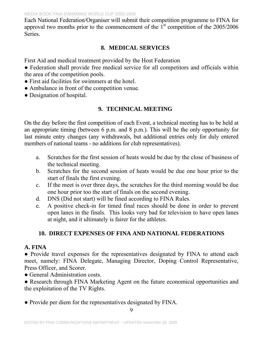Each National Federation/Organiser will submit their competition programme to FINA for approval two months prior to the commencement of the  $1<sup>st</sup>$  competition of the 2005/2006 **Series**.

# **8. MEDICAL SERVICES**

First Aid and medical treatment provided by the Host Federation

• Federation shall provide free medical service for all competitors and officials within the area of the competition pools.

- First aid facilities for swimmers at the hotel.
- Ambulance in front of the competition venue.
- Designation of hospital.

# **9. TECHNICAL MEETING**

On the day before the first competition of each Event, a technical meeting has to be held at an appropriate timing (between 6 p.m. and 8 p.m.). This will be the only opportunity for last minute entry changes (any withdrawals, but additional entries only for duly entered members of national teams - no additions for club representatives).

- a. Scratches for the first session of heats would be due by the close of business of the technical meeting.
- b. Scratches for the second session of heats would be due one hour prior to the start of finals the first evening.
- c. If the meet is over three days, the scratches for the third morning would be due one hour prior too the start of finals on the second evening.
- d. DNS (Did not start) will be fined according to FINA Rules.
- e. A positive check-in for timed final races should be done in order to prevent open lanes in the finals. This looks very bad for television to have open lanes at night, and it ultimately is fairer for the athletes.

# **10. DIRECT EXPENSES OF FINA AND NATIONAL FEDERATIONS**

# **A. FINA**

• Provide travel expenses for the representatives designated by FINA to attend each meet, namely: FINA Delegate, Managing Director, Doping Control Representative, Press Officer, and Scorer.

• General Administration costs.

● Research through FINA Marketing Agent on the future economical opportunities and the exploitation of the TV Rights.

● Provide per diem for the representatives designated by FINA.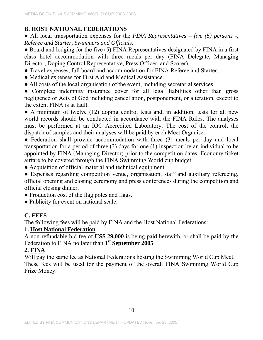# **B. HOST NATIONAL FEDERATIONS**

● All local transportation expenses for the *FINA Representatives – five (5) persons -, Referee and Starter, Swimmers and Officials.* 

• Board and lodging for the five (5) FINA Representatives designated by FINA in a first class hotel accommodation with three meals per day (FINA Delegate, Managing Director, Doping Control Representative, Press Officer, and Scorer).

- Travel expenses, full board and accommodation for FINA Referee and Starter.
- Medical expenses for First Aid and Medical Assistance.
- All costs of the local organisation of the event, including secretarial services.

• Complete indemnity insurance cover for all legal liabilities other than gross negligence or Acts of God including cancellation, postponement, or alteration, except to the extent FINA is at fault.

• A minimum of twelve (12) doping control tests and, in addition, tests for all new world records should be conducted in accordance with the FINA Rules. The analyses must be performed at an IOC Accredited Laboratory. The cost of the control, the dispatch of samples and their analyses will be paid by each Meet Organiser.

• Federation shall provide accommodation with three (3) meals per day and local transportation for a period of three (3) days for one (1) inspection by an individual to be appointed by FINA (Managing Director) prior to the competition dates. Economy ticket airfare to be covered through the FINA Swimming World cup budget.

● Acquisition of official material and technical equipment.

● Expenses regarding competition venue, organisation, staff and auxiliary refereeing, official opening and closing ceremony and press conferences during the competition and official closing dinner.

- Production cost of the flag poles and flags.
- Publicity for event on national scale.

# **C. FEES**

The following fees will be paid by FINA and the Host National Federations:

# **1. Host National Federation**

A non-refundable bid fee of **US\$ 29,000** is being paid herewith, or shall be paid by the Federation to FINA no later than **1st September 2005**.

# **2. FINA**

Will pay the same fee as National Federations hosting the Swimming World Cup Meet. These fees will be used for the payment of the overall FINA Swimming World Cup Prize Money.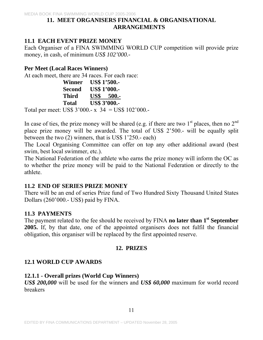### **11. MEET ORGANISERS FINANCIAL & ORGANISATIONAL ARRANGEMENTS**

# **11.1 EACH EVENT PRIZE MONEY**

Each Organiser of a FINA SWIMMING WORLD CUP competition will provide prize money, in cash, of minimum *US\$ 102'000.-*

## **Per Meet (Local Races Winners)**

At each meet, there are 34 races. For each race:

| Winner       | <b>US\$</b> 1'500.- |
|--------------|---------------------|
| Second       | <b>US\$ 1'000.-</b> |
| <b>Third</b> | <b>US\$</b> 500.-   |
| <b>Total</b> | <b>US\$ 3'000.-</b> |

Total per meet: US\$ 3'000.- x 34 = US\$ 102'000.-

In case of ties, the prize money will be shared (e.g. if there are two  $1<sup>st</sup>$  places, then no  $2<sup>nd</sup>$ place prize money will be awarded. The total of US\$ 2'500.- will be equally split between the two (2) winners, that is US\$ 1'250.- each)

The Local Organising Committee can offer on top any other additional award (best swim, best local swimmer, etc.).

The National Federation of the athlete who earns the prize money will inform the OC as to whether the prize money will be paid to the National Federation or directly to the athlete.

## **11.2 END OF SERIES PRIZE MONEY**

There will be an end of series Prize fund of Two Hundred Sixty Thousand United States Dollars (260'000.- US\$) paid by FINA.

## **11.3 PAYMENTS**

The payment related to the fee should be received by FINA **no later than 1st September 2005.** If, by that date, one of the appointed organisers does not fulfil the financial obligation, this organiser will be replaced by the first appointed reserve.

## **12. PRIZES**

# **12.1 WORLD CUP AWARDS**

## **12.1.1 - Overall prizes (World Cup Winners)**

*US\$ 200,000* will be used for the winners and *US\$ 60,000* maximum for world record breakers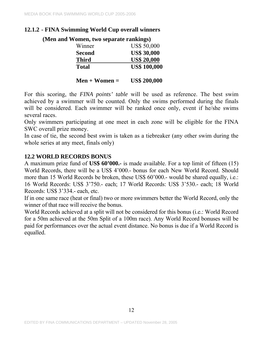# **12.1.2 - FINA Swimming World Cup overall winners**

 **(Men and Women, two separate rankings)**  Winner US\$ 50,000  **Second US\$ 30,000 Third US\$ 20,000 Total US\$ 100,000** 

**Men + Women = US\$ 200,000** 

For this scoring, the *FINA points' table* will be used as reference. The best swim achieved by a swimmer will be counted. Only the swims performed during the finals will be considered. Each swimmer will be ranked once only, event if he/she swims several races.

Only swimmers participating at one meet in each zone will be eligible for the FINA SWC overall prize money.

In case of tie, the second best swim is taken as a tiebreaker (any other swim during the whole series at any meet, finals only)

# **12.2 WORLD RECORDS BONUS**

A maximum prize fund of **US\$ 60'000.-** is made available. For a top limit of fifteen (15) World Records, there will be a US\$ 4'000.- bonus for each New World Record. Should more than 15 World Records be broken, these US\$ 60'000.- would be shared equally, i.e.: 16 World Records: US\$ 3'750.- each; 17 World Records: US\$ 3'530.- each; 18 World Records: US\$ 3'334.- each, etc.

If in one same race (heat or final) two or more swimmers better the World Record, only the winner of that race will receive the bonus.

World Records achieved at a split will not be considered for this bonus (i.e.: World Record for a 50m achieved at the 50m Split of a 100m race). Any World Record bonuses will be paid for performances over the actual event distance. No bonus is due if a World Record is equalled.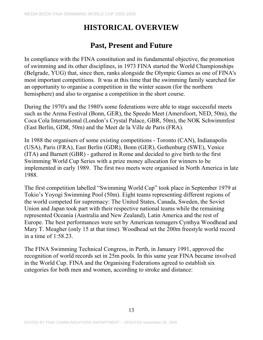# **HISTORICAL OVERVIEW**

# **Past, Present and Future**

In compliance with the FINA constitution and its fundamental objective, the promotion of swimming and its other disciplines, in 1973 FINA started the World Championships (Belgrade, YUG) that, since then, ranks alongside the Olympic Games as one of FINA's most important competitions. It was at this time that the swimming family searched for an opportunity to organise a competition in the winter season (for the northern hemisphere) and also to organise a competition in the short course.

During the 1970's and the 1980's some federations were able to stage successful meets such as the Arena Festival (Bonn, GER), the Speedo Meet (Amersfoort, NED, 50m), the Coca Cola International (London's Crystal Palace, GBR, 50m), the NOK Schwimmfest (East Berlin, GDR, 50m) and the Meet de la Ville de Paris (FRA).

In 1988 the organisers of some existing competitions - Toronto (CAN), Indianapolis (USA), Paris (FRA), East Berlin (GDR), Bonn (GER), Gothenburg (SWE), Venice (ITA) and Barnett (GBR) - gathered in Rome and decided to give birth to the first Swimming World Cup Series with a prize money allocation for winners to be implemented in early 1989. The first two meets were organised in North America in late 1988.

The first competition labelled "Swimming World Cup" took place in September 1979 at Tokio's Yoyogi Swimming Pool (50m). Eight teams representing different regions of the world competed for supremacy: The United States, Canada, Sweden, the Soviet Union and Japan took part with their respective national teams while the remaining represented Oceania (Australia and New Zealand), Latin America and the rest of Europe. The best performances were set by American teenagers Cynthya Woodhead and Mary T. Meagher (only 15 at that time). Woodhead set the 200m freestyle world record in a time of 1:58.23.

The FINA Swimming Technical Congress, in Perth, in January 1991, approved the recognition of world records set in 25m pools. In this same year FINA became involved in the World Cup. FINA and the Organising Federations agreed to establish six categories for both men and women, according to stroke and distance: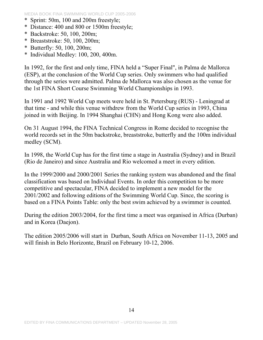- \* Sprint: 50m, 100 and 200m freestyle;
- \* Distance: 400 and 800 or 1500m freestyle;
- \* Backstroke: 50, 100, 200m;
- \* Breaststroke: 50, 100, 200m;
- \* Butterfly: 50, 100, 200m;
- \* Individual Medley: 100, 200, 400m.

In 1992, for the first and only time, FINA held a "Super Final", in Palma de Mallorca (ESP), at the conclusion of the World Cup series. Only swimmers who had qualified through the series were admitted. Palma de Mallorca was also chosen as the venue for the 1st FINA Short Course Swimming World Championships in 1993.

In 1991 and 1992 World Cup meets were held in St. Petersburg (RUS) - Leningrad at that time - and while this venue withdrew from the World Cup series in 1993, China joined in with Beijing. In 1994 Shanghai (CHN) and Hong Kong were also added.

On 31 August 1994, the FINA Technical Congress in Rome decided to recognise the world records set in the 50m backstroke, breaststroke, butterfly and the 100m individual medley (SCM).

In 1998, the World Cup has for the first time a stage in Australia (Sydney) and in Brazil (Rio de Janeiro) and since Australia and Rio welcomed a meet in every edition.

In the 1999/2000 and 2000/2001 Series the ranking system was abandoned and the final classification was based on Individual Events. In order this competition to be more competitive and spectacular, FINA decided to implement a new model for the 2001/2002 and following editions of the Swimming World Cup. Since, the scoring is based on a FINA Points Table: only the best swim achieved by a swimmer is counted.

During the edition 2003/2004, for the first time a meet was organised in Africa (Durban) and in Korea (Daejon).

The edition 2005/2006 will start in Durban, South Africa on November 11-13, 2005 and will finish in Belo Horizonte, Brazil on February 10-12, 2006.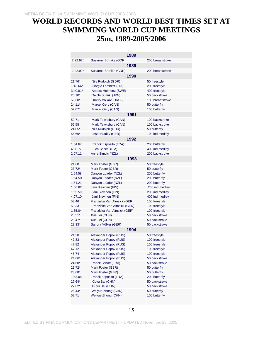# **WORLD RECORDS AND WORLD BEST TIMES SET AT SWIMMING WORLD CUP MEETINGS 25m, 1989-2005/2006**

|            | 1989                                         |                  |
|------------|----------------------------------------------|------------------|
| $2:22.92*$ | Susanne Börnike (GDR)                        | 200 breaststroke |
|            | 1989                                         |                  |
| $2:22.92*$ | Susanne Börnike (GDR)                        | 200 breaststroke |
|            | 1990                                         |                  |
| $21.76*$   | Nils Rudolph (GDR)                           | 50 freestyle     |
| $1:43.64*$ | Giorgio Lamberti (ITA)                       | 200 freestyle    |
| $3:40.81*$ | Anders Holmertz (SWE)                        | 400 freestyle    |
| $25.10*$   | Daichi Suzuki (JPN)                          | 50 backstroke    |
| $59.30*$   | Dmitry Volkov (URSS)                         | 100 breaststroke |
| 24.11*     | Marcel Gery (CAN)                            | 50 butterfly     |
| 52.07*     | Marcel Gery (CAN)                            | 100 butterfly    |
|            | 1991                                         |                  |
| 52.71      |                                              | 100 backstroke   |
| 52.58      | Mark Tewksbury (CAN)<br>Mark Tewksbury (CAN) | 100 backstroke   |
| 24.05*     |                                              | 50 butterfly     |
| 54.66*     | Nils Rudolph (GDR)                           |                  |
|            | Josef Hladky (GER)<br>1992                   | 100 ind.medley   |
|            |                                              |                  |
| 1:54.67    | Franck Esposito (FRA)                        | 200 butterfly    |
| 4:08.77    | Luca Sacchi (ITA)                            | 400 ind.medley   |
| 2:07.11    | Anna Simcic (NZL)                            | 200 backstroke   |
|            | 1993                                         |                  |
| 21.60      | Mark Foster (GBR)                            | 50 freestyle     |
| $23.72*$   | Mark Foster (GBR)                            | 50 butterfly     |
| 1:54.58    | Danyon Loader (NZL)                          | 200 butterfly    |
| 1:54.50    | Danyon Loader (NZL)                          | 200 butterfly    |
| 1:54.21    | Danyon Loader (NZL)                          | 200 butterfly    |
| 1:56.62    | Jani Sievinen (FIN)                          | 200 ind.medley   |
| 1:55.59    | Jani Sievinen (FIN)                          | 200 ind.medley   |
| 4:07.10    | Jani Sievinen (FIN)                          | 400 ind.medley   |
| 53.46      | Franziska Van Almsick (GER)                  | 100 freestyle    |
| 53.33      | Franziska Van Almsick (GER)                  | 100 freestyle    |
| 1:55.84    | Franziska Van Almsick (GER)                  | 100 freestyle    |
| $28.51*$   | Xue Lei (CHN)                                | 50 backstroke    |
| 28.47*     | Xue Lei (CHN)                                | 50 backstroke    |
| 28.33*     | Sandra Völker (GER)                          | 50 backstroke    |
|            | 1994                                         |                  |
| 21.50      | Alexander Popov (RUS)                        | 50 freestyle     |
| 47.83      | Alexander Popov (RUS)                        | 100 freestyle    |
| 47.82      | Alexander Popov (RUS)                        | 100 freestyle    |
| 47.12      | Alexander Popov (RUS)                        | 100 freestyle    |
| 46.74      | Alexander Popov (RUS)                        | 100 freestyle    |
| 24.66*     | Alexander Popov (RUS)                        | 50 backstroke    |
| 24.60*     | Franck Schott (FRA)                          | 50 backstroke    |
| 23.72*     | Mark Foster (GBR)                            | 50 butterfly     |
| 23.68*     | Mark Foster (GBR)                            | 50 butterfly     |
| 1:53.05    | Franck Esposito (FRA)                        | 200 butterfly    |
| 27.64*     | Xiuyu Bai (CHN)                              | 50 backstroke    |
| 27.62*     | Xiuyu Bai (CHN)                              | 50 backstroke    |
| 26.44*     | Weiyue Zhong (CHN)                           | 50 butterfly     |
| 58.71      | Weiyue Zhong (CHN)                           | 100 butterfly    |
|            |                                              |                  |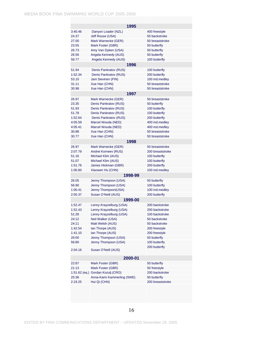|         | 1995                              |                  |  |  |
|---------|-----------------------------------|------------------|--|--|
| 3:40.46 | Danyon Loader (NZL)               | 400 freestyle    |  |  |
| 24.37   | Jeff Rouse (USA)                  | 50 backstroke    |  |  |
| 27.00   | Mark Warnecke (GER)               | 50 breaststroke  |  |  |
| 23.55   | Mark Foster (GBR)                 | 50 butterfly     |  |  |
| 26.73   | Amy Van Dyken (USA)               | 50 butterfly     |  |  |
| 26.56   | Angela Kennedy (AUS)              | 50 butterfly     |  |  |
| 58.77   | Angela Kennedy (AUS)              | 100 butterfly    |  |  |
|         | 1996                              |                  |  |  |
| 51.94   | Denis Pankratov (RUS)             | 100 butterfly    |  |  |
| 1:52.34 | Denis Pankratov (RUS)             | 200 butterfly    |  |  |
| 53.10   | Jani Sievinen (FIN)               | 100 ind.medley   |  |  |
| 31.11   | Xue Han (CHN)                     | 50 breaststroke  |  |  |
| 30.98   | Xue Han (CHN)                     | 50 breaststroke  |  |  |
|         | 1997                              |                  |  |  |
| 26.97   | Mark Warnecke (GER)               | 50 breaststroke  |  |  |
| 23.35   | Denis Pankratov (RUS)             | 50 butterfly     |  |  |
| 51.93   | Denis Pankratov (RUS)             | 100 butterfly    |  |  |
| 51.78   | Denis Pankratov (RUS)             | 100 butterfly    |  |  |
| 1:52.64 | Denis Pankratov (RUS)             | 200 butterfly    |  |  |
| 4:05.59 | Marcel Wouda (NED)                | 400 ind.medley   |  |  |
| 4:05.41 | Marcel Wouda (NED)                | 400 ind.medley   |  |  |
| 30.88   | Xue Han (CHN)                     | 50 breaststroke  |  |  |
| 30.77   | Xue Han (CHN)                     | 50 breaststroke  |  |  |
|         | 1998                              |                  |  |  |
| 26.97   | Mark Warnecke (GER)               | 50 breaststroke  |  |  |
| 2:07.79 | Andrei Korneev (RUS)              | 200 breaststroke |  |  |
| 51.16   | Michael Klim (AUS)                | 100 butterfly    |  |  |
| 51.07   | Michael Klim (AUS)                | 100 butterfly    |  |  |
| 1:51.76 | James Hickman (GBR)               | 200 butterfly    |  |  |
| 1:00.60 | Xiaowen Hu (CHN)                  | 100 ind.medley   |  |  |
|         | 1998-99                           |                  |  |  |
| 26.05   | Jenny Thompson (USA)              | 50 butterfly     |  |  |
| 56.90   | Jenny Thompson (USA)              | 100 butterfly    |  |  |
| 1:00.41 | Jenny Thompson(USA)               | 100 ind.medley   |  |  |
| 2:05.37 | Susan O'Neill (AUS)               | 200 butterfly    |  |  |
|         | 1999-00                           |                  |  |  |
| 1:52.47 | Lenny Krayzelburg (USA)           | 200 backstroke   |  |  |
| 1:52.43 | Lenny Krayzelburg (USA)           | 200 backstroke   |  |  |
| 51:28   | Lenny Krayzelburg (USA)           | 100 backstroke   |  |  |
| 24:12   | Neil Walker (USA)                 | 50 backstroke    |  |  |
| 24:11   | Matt Welsh (AUS)                  | 50 backstroke    |  |  |
| 1:42.54 | Ian Thorpe (AUS)                  | 200 freestyle    |  |  |
| 1:41.10 | Ian Thorpe (AUS)                  | 200 freestyle    |  |  |
| 26:00   | Jenny Thompson (USA)              | 50 butterfly     |  |  |
| 56:80   | Jenny Thompson (USA)              | 100 butterfly    |  |  |
| 2:04.16 | Susan O'Neill (AUS)               | 200 butterfly    |  |  |
|         |                                   |                  |  |  |
|         | 2000-01                           |                  |  |  |
| 22:87   | Mark Foster (GBR)                 | 50 butterfly     |  |  |
| 21:13   | Mark Foster (GBR)                 | 50 freestyle     |  |  |
|         | 1:51.62 (eq.) Gordan Kozulj (CRO) | 200 backstroke   |  |  |
| 25:36   | Anna-Karin Kammerling (SWE)       | 50 butterfly     |  |  |
| 2:19.25 | Hui Qi (CHN)                      | 200 breaststroke |  |  |
|         |                                   |                  |  |  |

16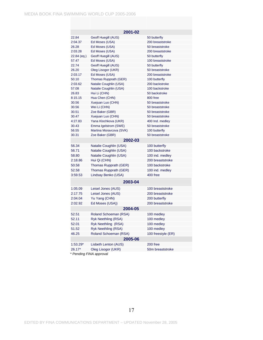| 2001-02     |                            |                                 |  |
|-------------|----------------------------|---------------------------------|--|
| 22.84       | Geoff Huegill (AUS)        | 50 butterfly                    |  |
| 2:04.37     | Ed Moses (USA)             | 200 breaststroke                |  |
| 26.28       | Ed Moses (USA)             | 50 breaststroke                 |  |
| 2:03.28     | Ed Moses (USA)             | 200 breaststroke                |  |
| 22.84 (eq.) | Geoff Huegill (AUS)        | 50 butterfly                    |  |
| 57.47       | Ed Moses (USA)             | 100 breaststroke                |  |
| 22.74       | Geoff Huegill (AUS)        | 50 butterfly                    |  |
| 26.20       | Oleg Lisogor (UKR)         | 50 breaststroke                 |  |
| 2:03.17     | Ed Moses (USA)             | 200 breaststroke                |  |
| 50.10       | Thomas Rupprath (GER)      | 100 butterfly                   |  |
| 2:03.62     | Natalie Coughlin (USA)     | 200 backstroke                  |  |
| 57.08       | Natalie Coughlin (USA)     | 100 backstroke                  |  |
| 26.83       | Hui Li (CHN)               | 50 backstroke                   |  |
| 8:15.15     | Hua Chen (CHN)             | 800 free                        |  |
| 30.56       | Xuejuan Luo (CHN)          | 50 breaststroke                 |  |
| 30.56       | Wei Li (CHN)               | 50 breaststroke                 |  |
| 30.51       | Zoe Baker (GBR)            | 50 breaststroke                 |  |
| 30.47       | Xuejuan Luo (CHN)          | 50 breaststroke                 |  |
| 4:27.83     | Yana Klochkova (UKR)       | 400 Ind. medley                 |  |
| 30.43       | Emma Igelstrom (SWE)       | 50 breaststroke                 |  |
| 56.55       | Martina Moravcova (SVK)    | 100 butterfly                   |  |
| 30.31       | Zoe Baker (GBR)<br>2002-03 | 50 breaststroke                 |  |
| 56.34       |                            |                                 |  |
| 56.71       | Natalie Coughlin (USA)     | 100 butterfly<br>100 backstroke |  |
|             | Natalie Coughlin (USA)     |                                 |  |
| 58.80       | Natalie Coughlin (USA)     | 100 ind. medley                 |  |
| 2:18.86     | Hui Qi (CHN)               | 200 breaststroke                |  |
| 50.58       | Thomas Rupprath (GER)      | 100 backstroke                  |  |
| 52.58       | Thomas Rupprath (GER)      | 100 ind. medley                 |  |
| 3:59.53     | Lindsay Benko (USA)        | 400 free                        |  |
|             | 2003-04                    |                                 |  |
| 1:05.09     | Leisel Jones (AUS)         | 100 breaststroke                |  |
| 2:17.75     | Leisel Jones (AUS)         | 200 breaststroke                |  |
| 2:04.04     | Yu Yang (CHN)              | 200 butterfly                   |  |
| 2:02.92     | Ed Moses (USA))            | 200 breaststroke                |  |
|             | 2004-05                    |                                 |  |
| 52.51       | Roland Schoeman (RSA)      | 100 medley                      |  |
| 52.11       | Ryk Neethling (RSA)        | 100 medley                      |  |
| 52.01       | Ryk Neethling (RSA)        | 100 medley                      |  |
| 51.52       | Ryk Neethling (RSA)        | 100 medley                      |  |
| 46.25       | Roland Schoeman (RSA)      | 100 freestyle (ER)              |  |
| 2005-06     |                            |                                 |  |
| $1:53.29*$  | Lisbeth Lenton (AUS)       | 200 free                        |  |
| 26.17*      | Oleg Lisogor (UKR)         | 50m breaststroke                |  |

 *\* Pending FINA approval*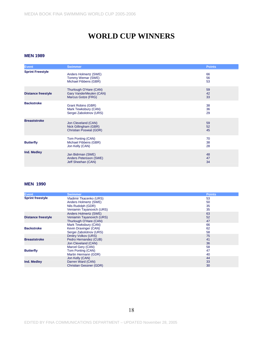# **WORLD CUP WINNERS**

#### **MEN 1989**

| <b>Event</b>              | <b>Swimmer</b>                                                                 | <b>Points</b>  |
|---------------------------|--------------------------------------------------------------------------------|----------------|
| <b>Sprint Freestyle</b>   | Anders Holmertz (SWE)<br>Tommy Wemar (SWE)<br>Michael Fibbens (GBR)            | 66<br>56<br>53 |
| <b>Distance freestyle</b> | Thurlough O'Hare (CAN)<br>Gary VanderMeulen (CAN)<br>Marcus Gotze (FRG)        | 59<br>42<br>33 |
| <b>Backstroke</b>         | <b>Grant Robins (GBR)</b><br>Mark Tewksbury (CAN)<br>Sergei Zabolotnov (URS)   | 38<br>36<br>29 |
| <b>Breaststroke</b>       | Jon Cleveland (CAN)<br>Nick Gillingham (GBR)<br><b>Christian Poswiat (GDR)</b> | 59<br>52<br>45 |
| <b>Butterfly</b>          | Tom Ponting (CAN)<br>Michael Fibbens (GBR)<br>Jon Kelly (CAN)                  | 70<br>38<br>28 |
| Ind. Medley               | Jan Bidrman (SWE)<br>Anders Petersson (SWE)<br>Jeff Sheehan (CAN)              | 48<br>47<br>34 |

| <b>Event</b>              | <b>Swimmer</b>                 | <b>Points</b> |
|---------------------------|--------------------------------|---------------|
| <b>Sprint freestyle</b>   | Vladimir Tkacenko (URS)        | 53            |
|                           | Anders Holmertz (SWE)          | 50            |
|                           | Nils Rudolph (GDR)             | 35            |
|                           | Veniamin Tayanovich (URS)      | 35            |
|                           | Anders Holmertz (SWE)          | 63            |
| <b>Distance freestyle</b> | Veniamin Tayanovich (URS)      | 52            |
|                           | Thurlough O'Hare (CAN)         | 47            |
|                           | Mark Tewksbury (CAN)           | 66            |
| <b>Backstroke</b>         | Kevin Draxinger (CAN)          | 62            |
|                           | Sergei Zabolotnov (URS)        | 58            |
|                           | <b>Dmitry Volkov (URS)</b>     | 75            |
| <b>Breaststroke</b>       | Pedro Hernandez (CUB)          | 41            |
|                           | Jon Cleveland (CAN)            | 36            |
|                           | Marcel Gery (CAN)              | 58            |
| <b>Butterfly</b>          | Tom Ponting (CAN)              | 47            |
|                           | Martin Hermann (GDR)           | 40            |
|                           | Jon Kelly (CAN)                | 44            |
| Ind. Medley               | Darren Ward (CAN)              | 33            |
|                           | <b>Christian Gessner (GDR)</b> | 30            |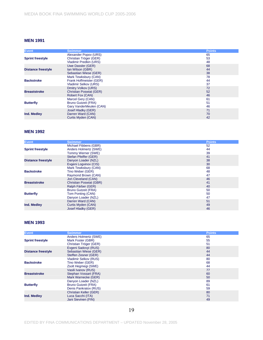| <b>Event</b>              | <b>Swimmer</b>                 | <b>Points</b> |
|---------------------------|--------------------------------|---------------|
|                           | Alexander Popov (URS)          | 65            |
| <b>Sprint freestyle</b>   | Christian Tröger (GER)         | 53            |
|                           | Vladimir Predkin (URS)         | 48            |
|                           | Uwe Dassler (GER)              | 68            |
| <b>Distance freestyle</b> | Ian Wilson (GBR)               | 44            |
|                           | Sebastian Wiese (GER)          | 38            |
|                           | Mark Tewksbury (CAN)           | 78            |
| <b>Backstroke</b>         | Frank Hoffmeister (GER)        | 44            |
|                           | Vladimir Selkov (URS)          | 37            |
|                           | Dmitry Volkov (URS)            | 72            |
| <b>Breaststroke</b>       | <b>Christian Poswiat (GER)</b> | 52            |
|                           | Robert Fox (CAN)               | 46            |
|                           | Marcel Gery (CAN)              | 61            |
| <b>Butterfly</b>          | <b>Bruno Gutzeit (FRA)</b>     | 51            |
|                           | Gary VanderMeulen (CAN)        | 46            |
|                           | Josef Hladky (GER)             | 71            |
| Ind. Medley               | Darren Ward (CAN)              | 70            |
|                           | Curtis Myden (CAN)             | 42            |

#### **MEN 1992**

| <b>Event</b>              | <b>Swimmer</b>                 | <b>Points</b> |
|---------------------------|--------------------------------|---------------|
|                           | Michael Fibbens (GBR)          | 52            |
| <b>Sprint freestyle</b>   | Anders Holmertz (SWE)          | 44            |
|                           | Tommy Werner (SWE)             | 39            |
|                           | Stefan Pfeiffer (GER)          | 41            |
| <b>Distance freestyle</b> | Danyon Loader (NZL)            | 38            |
|                           | Evgeni Logvinov (CIS)          | 30            |
|                           | Mark Tewksbury (CAN)           | 68            |
| <b>Backstroke</b>         | Tino Weber (GER)               | 48            |
|                           | Raymond Brown (CAN)            | 47            |
|                           | Jon Cleveland (CAN)            | 46            |
| <b>Breaststroke</b>       | <b>Christian Poswiat (GBR)</b> | 41            |
|                           | Ralph Färber (GER)             | 40            |
|                           | <b>Bruno Gutzeit (FRA)</b>     | 50            |
| <b>Butterfly</b>          | Tom Ponting (CAN)              | 50            |
|                           | Danyon Loader (NZL)            | 47            |
|                           | Darren Ward (CAN)              | 51            |
| Ind. Medley               | Curtis Myden (CAN)             | 49            |
|                           | Josef Hladky (GER)             | 46            |

| <b>Event</b>              | <b>Swimmer</b>             | <b>Points</b> |
|---------------------------|----------------------------|---------------|
|                           | Anders Holmertz (SWE)      | 65            |
| <b>Sprint freestyle</b>   | Mark Foster (GBR)          | 55            |
|                           | Christian Tröger (GER)     | 51            |
|                           | Evgeni Sadovyi (RUS)       | 80            |
| <b>Distance freestyle</b> | Sebastian Wiese (GER)      | 44            |
|                           | Steffen Zesner (GER)       | 44            |
|                           | Vladimir Selkov (RUS)      | 80            |
| <b>Backstroke</b>         | Tino Weber (GER)           | 68            |
|                           | Zsolt Hegmegi (SWE)        | 44            |
|                           | Vasili Ivanov (RUS)        | 77            |
| <b>Breaststroke</b>       | Stephan Vossart (FRA)      | 60            |
|                           | Mark Warnecke (GER)        | 50            |
|                           | Danyon Loader (NZL)        | 89            |
| <b>Butterfly</b>          | <b>Bruno Gutzeit (FRA)</b> | 61            |
|                           | Denis Pankratov (RUS)      | 59            |
|                           | Christian Keller (GER)     | 80            |
| Ind. Medley               | Luca Sacchi (ITA)          | 71            |
|                           | Jani Sievinen (FIN)        | 49            |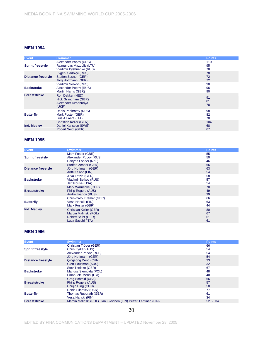| <b>Event</b>              | <b>Swimmer</b>                                                                | <b>Points</b>   |
|---------------------------|-------------------------------------------------------------------------------|-----------------|
| <b>Sprint freestyle</b>   | Alexander Popov (URS)<br>Raimundas Mazuolis (LTU)<br>Vladimir Pyshnenko (RUS) | 110<br>95<br>78 |
| <b>Distance freestyle</b> | Evgeni Sadovyi (RUS)<br>Steffen Zesner (GER)<br>Jörg Hoffmann (GER)           | 78<br>72<br>72  |
| <b>Backstroke</b>         | Vladimir Selkov (RUS)<br>Alexander Popov (RUS)<br>Martin Harris (GBR)         | 98<br>96<br>90  |
| <b>Breaststroke</b>       | Ron Dekker (NED)<br>Nick Gillingham (GBR)<br>Alexander Dzhaburiya<br>(UKR)    | 91<br>81<br>78  |
| <b>Butterfly</b>          | Denis Pankratov (RUS)<br>Mark Foster (GBR)<br>Luis A.Laera (ITA)              | 98<br>82<br>78  |
| Ind. Medley               | Christian Keller (GER)<br>Daniel Karlsson (SWE)<br>Robert Seibt (GER)         | 104<br>68<br>67 |

#### **MEN 1995**

| <b>Event</b>              | <b>Swimmer</b>            | <b>Points</b> |
|---------------------------|---------------------------|---------------|
|                           | Mark Foster (GBR)         | 55            |
| <b>Sprint freestyle</b>   | Alexander Popov (RUS)     | 50            |
|                           | Danyon Loader (NZL)       | 46            |
|                           | Steffen Zesner (GER)      | 66            |
| <b>Distance freestyle</b> | Jörg Hoffmann (GER)       | 63            |
|                           | Antti Kasvio (FIN)        | 54            |
|                           | Jirka Letzin (GER)        | 58            |
| <b>Backstroke</b>         | Vladimir Selkov (RUS)     | 57            |
|                           | Jeff Rouse (USA)          | 54            |
|                           | Mark Warnecke (GER)       | 70            |
| <b>Breaststroke</b>       | Philip Rogers (AUS)       | 49            |
|                           | Andrei Ivanov (RUS)       | 39            |
|                           | Chris-Carol Bremer (GER)  | 66            |
| <b>Butterfly</b>          | Vesa Hanski (FIN)         | 63            |
|                           | Mark Foster (GBR)         | 44            |
| Ind. Medley               | Christian Keller (GER)    | 80            |
|                           | Marcin Malinski (POL)     | 67            |
|                           | <b>Robert Seibt (GER)</b> | 61            |
|                           | Luca Sacchi (ITA)         | 61            |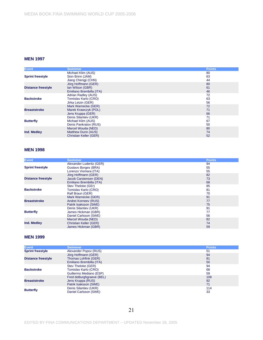| <b>Event</b>              | <b>Swimmer</b>                | <b>Points</b> |
|---------------------------|-------------------------------|---------------|
|                           | Michael Klim (AUS)            | 80            |
| <b>Sprint freestyle</b>   | Sion Brinn (JAM)              | 63            |
|                           | Jiang Chengji (CHN)           | 44            |
|                           | Jörg Hoffmann (GER)           | 80            |
| <b>Distance freestyle</b> | Ian Wilson (GBR)              | 61            |
|                           | Emiliano Brembilla (ITA)      | 46            |
|                           | Adrian Radley (AUS)           | 72            |
| <b>Backstroke</b>         | Tomislav Karlo (CRO)          | 63            |
|                           | Jirka Letzin (GER)            | 56            |
|                           | Mark Warnecke (GER)           | 72            |
| <b>Breaststroke</b>       | Marek Krawczyk (POL)          | 71            |
|                           | Jens Kruppa (GER)             | 66            |
|                           | Denis Silantiev (UKR)         | 71            |
| <b>Butterfly</b>          | Michael Klim (AUS)            | 67            |
|                           | Denis Pankratov (RUS)         | 50            |
| Ind. Medley               | Marcel Wouda (NED)            | 80            |
|                           | <b>Matthew Dunn (AUS)</b>     | 74            |
|                           | <b>Christian Keller (GER)</b> | 52            |

#### **MEN 1998**

| <b>Event</b>              | <b>Swimmer</b>           | <b>Points</b> |
|---------------------------|--------------------------|---------------|
|                           | Alexander Luderitz (GER) | 94            |
| <b>Sprint freestyle</b>   | Gustavo Borges (BRA)     | 55            |
|                           | Lorenzo Vismara (ITA)    | 55            |
|                           | Jörg Hoffmann (GER)      | 82            |
| <b>Distance freestyle</b> | Jacob Carstensen (DEN)   | 73            |
|                           | Emiliano Brembilla (ITA) | 68            |
|                           | Stev Theloke (GEr)       | 85            |
| <b>Backstroke</b>         | Tomislav Karlo (CRO)     | 81            |
|                           | Ralf Braun (GER)         | 70            |
|                           | Mark Warnecke (GER)      | 91            |
| <b>Breaststroke</b>       | Andrei Korneev (RUS)     | 77            |
|                           | Patrik Isaksson (SWE)    | 75            |
|                           | Denis Silantiev (UKR)    | 91            |
| <b>Butterfly</b>          | James Hickman (GBR)      | 77            |
|                           | Daniel Carlsson (SWE)    | 56            |
|                           | Marcel Wouda (NED)       | 82            |
| Ind. Medley               | Christian Keller (GER)   | 74            |
|                           | James Hickman (GBR)      | 59            |

| <b>Event</b>            | <b>Swimmer</b>           | <b>Points</b> |
|-------------------------|--------------------------|---------------|
| <b>Sprint freestyle</b> | Alexander Popov (RUS)    | 51            |
|                         | Jörg Hoffmann (GER)      | 94            |
| Distance freestyle      | Thomas Lohfink (GER)     | 81            |
|                         | Emiliano Brembilla (ITA) | 50            |
|                         | Stev Theloke (GER)       | 94            |
| <b>Backstroke</b>       | Tomislav Karlo (CRO)     | 68            |
|                         | Guillermo Mediano (ESP)  | 59            |
|                         | Fred deBurghgraeve (BEL) | 108           |
| <b>Breaststroke</b>     | Jens Kruppa (RUS)        | 92            |
|                         | Patrik Isaksson (SWE)    | 71            |
| <b>Butterfly</b>        | Denis Silantiev (UKR)    | 114           |
|                         | Daniel Carlsson (SWE)    | 33            |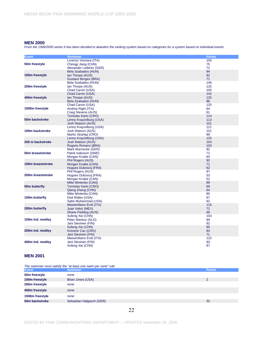*From the 1999/2000 series it has been decided to abandon the ranking system based on categories for a system based on individual events*

| <b>Event</b>              | <b>Swimmer</b>           | <b>Points</b> |
|---------------------------|--------------------------|---------------|
|                           | Lorenzo Vismara (ITA)    | 100           |
| 50 <sub>m</sub> freestyle | Chengji Jiang (CHN)      | 75            |
|                           | Alexander Lüderitz (GER) | 72            |
|                           | Bela Szabados (HUN)      | 94            |
| 100m freestyle            | Ian Thorpe (AUS)         | 92            |
|                           | Gustavo Borges (BRA)     | 71            |
|                           | Bela Szabados (HUN)      | 146           |
| 200m freestyle            | Ian Thorpe (AUS)         | 125           |
|                           | Chad Carvin (USA)        | 105           |
|                           | Chad Carvin (USA)        | 142           |
| 400m freestyle            | Ian Thorpe (AUS)         | 125           |
|                           | Bela Szabados (HUN)      | 88            |
|                           | Chad Carvin (USA)        | 125           |
| 1500m freestyle           | Andrea Righi (ITA)       | 64            |
|                           | Craig Stevens (AUS)      | 61            |
|                           | Tomislav Karlo (CRO)     | 114           |
| 50m backstroke            | Lenny Krayzelburg (USA)  | 113           |
|                           | Josh Watson (AUS)        | 101           |
|                           | Lenny Krayzelburg (USA)  | 121           |
| 100m backstroke           | Josh Watson (AUS)        | 101           |
|                           | Marko Strahija (CRO)     | 89            |
|                           | Lenny Krayzelburg (USA)  | 125           |
| 200 m backstroke          | Josh Watson (AUS)        | 104           |
|                           | Rogerio Romero (BRA)     | 103           |
|                           | Mark Warnecke (GER)      | 92            |
| 50m breaststroke          | Patrik Isaksson (SWE)    | 71            |
|                           | Morgan Knabe (CAN)       | 63            |
|                           | Phil Rogers (AUS)        | 92            |
| 100m breaststroke         | Morgan Knabe (CAN)       | 71            |
|                           | Hugues Duboscg (FRA)     | 62            |
|                           | Phil Rogers (AUS)        | 97            |
| 200m breaststroke         | Hugues Duboscg (FRA)     | 53            |
|                           | Morgan Knabe (CAN)       | 52            |
|                           | Mike Mintenko (CAN)      | 89            |
| 50m butterfly             | Tomislav Karlo (CRO)     | 69            |
|                           | Qiang Zhang (CHN)        | 64            |
|                           | Mike Mintenko (CAN)      | 85            |
| 100m butterfly            | Dod Wales (USA)          | 67            |
|                           | Sabir Muhammad (USA)     | 62            |
|                           | Massimiliano Eroli (ITA) | 115           |
| 200m butterfly            | Juan Veloz (MEX)         | 71            |
|                           | Shane Fielding (AUS)     | 66            |
|                           | Xufeng Xie (CHN)         | 103           |
| 100m Ind. medley          | Peter Mankoc (SLO)       | 94            |
|                           | Jani Sievinen (FIN)      | 92            |
|                           | Xufeng Xie (CHN)         | 85            |
| 200m Ind. medley          | Kresimir Cac (CRO)       | 83            |
|                           | Jani Sievinen (FIN)      | 71            |
|                           | Massimiliano Eroli (ITA) | 122           |
| 400m Ind. medley          | Jani Sievinen (FIN)      | 93            |
|                           | Xufeng Xie (CHN)         | 87            |

#### **MEN 2001**

*The swimmer must satisfy the "at least one swim per zone" rule*

| .<br><b>Event</b> | <b>Swimmer</b>           | <b>Points</b> |
|-------------------|--------------------------|---------------|
| 50m freestyle     | none                     |               |
| 100m freestyle    | Brian Jones (USA)        | 2             |
| 200m freestyle    | none                     |               |
| 400m freestyle    | none                     |               |
| 1500m freestyle   | none                     |               |
| 50m backstroke    | Sebastian Halgasch (GER) | 32            |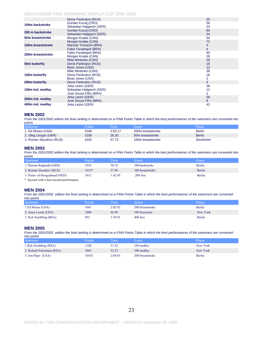|                   | Denis Pankratov (RUS)    | 20 |
|-------------------|--------------------------|----|
| 100m backstroke   | Gordan Kozuli (CRO)      | 56 |
|                   | Sebastian Halgasch (GER) | 24 |
| 200 m backstroke  | Gordan Kozuli (CRO)      | 60 |
|                   | Sebastian Halgasch (GER) | 24 |
| 50m breaststroke  | Morgan Knabe (CAN)       | 50 |
|                   | Morgan Knabe (CAN)       | 72 |
| 100m breaststroke | Marcelo Tomazini (BRA)   | 4  |
|                   | Fabio Farabegoli (BRA)   | 4  |
| 200m breaststroke | Fabio Farabegoli (BRA)   | 50 |
|                   | Morgan Knabe (CAN)       | 26 |
|                   | Mike Mintenko (CAN)      | 26 |
| 50m butterfly     | Denis Pankratov (RUS)    | 18 |
|                   | Brian Jones (USA)        | 12 |
|                   | Mike Mintenko (CAN)      | 38 |
| 100m butterfly    | Denis Pankratov (RUS)    | 16 |
|                   | Brian Jones (USA)        | 2  |
| 200m butterfly    | Denis Pankratov (RUS)    | 6  |
|                   | Jirka Letzin (GER)       | 38 |
| 100m Ind. medley  | Sebastian Halgasch (GER) | 12 |
|                   | Jose Souza Filho (BRA)   | 2  |
| 200m Ind. medley  | Jirka Letzin (GER)       | 56 |
|                   | Jose Souza Filho (BRA)   | 8  |
| 400m Ind. medley  | Jirka Letzin (GER)       | 42 |

#### **MEN 2002**

*From the 2001/2002 edition the final ranking is determined on a FINA Points Table in which the best performances of the swimmers are converted into points*

| Swimmer                 | Points | <b>Time</b> | Event                        | Place         |
|-------------------------|--------|-------------|------------------------------|---------------|
| 1. Ed Moses (USA)       | 1048   | 2:03.17     | 200m breaststroke            | <b>Berlin</b> |
| 2. Oleg Lisogor (UKR)   | 1039   | 26.20       | 50 <sub>m</sub> breaststroke | <b>Berlin</b> |
| 3. Roman Sloudnov (RUS) | 1025   | 57.73       | 100m breaststroke            | Stockholm     |

#### **MEN 2003**

*From the 2001/2002 edition the final ranking is determined on a FINA Points Table in which the best performances of the swimmers are converted into points*

| <b>Swimmer</b>                                                                           | <b>Points</b> | <b>ime</b> | Event            | Place  |
|------------------------------------------------------------------------------------------|---------------|------------|------------------|--------|
| 1. Thomas Rupprath (GER)                                                                 | 1016          | 50.76      | 100 backstroke   | Berlin |
| 2. Roman Sloudnov (RUS)                                                                  | $1012*$       | 57.96      | 100 breaststroke | Berlin |
| 3. Pieter vd Hoogenband (NED)<br>$\sim$ $\sim$ $\sim$ $\sim$ $\sim$ $\sim$ $\sim$ $\sim$ | 1012          | l:42.45    | 200 free         | Berlin |

\* Second with a best second performance

#### **MEN 2004**

*From the 2001/2002 edition the final ranking is determined on a FINA Points Table in which the best performances of the swimmers are converted into points*

| Swimmer                | <b>Points</b> | <b>ime</b> | Event            | Place    |
|------------------------|---------------|------------|------------------|----------|
| 1.Ed Moses (USA)       | 1041          | 2:02.92    | 200 breaststroke | Berlin   |
| 2. Jason Lezak (USA)   | 1000          | 46.98      | 100 freestylee   | New York |
| 3. Ryk Neethling (RSA) | 993           | 3:39.91    | 400 free         | Berlin   |

#### **MEN 2005**

*From the 2001/2002 edition the final ranking is determined on a FINA Points Table in which the best performances of the swimmers are converted into points*

| Swimmer                  | Points | <b>Time</b> | Event            | Place         |
|--------------------------|--------|-------------|------------------|---------------|
| 1. Ryk Neethling (RSA)   | 108    | 51.52       | 100 medley       | New York      |
| 2. Roland Schoeman (RSA) | 1063   | 52.23       | 100 medley       | New York      |
| 3. Jim Piper (USA)       | 0543   | 2:04.03     | 200 breaststroke | <b>Berlin</b> |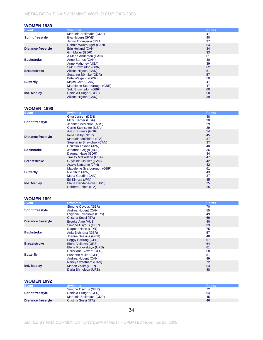#### **WOMEN 1989**

| <b>Event</b>              | <b>Swimmer</b>              | <b>Points</b> |
|---------------------------|-----------------------------|---------------|
|                           | Manuela Stellmach (GDR)     | 47            |
| <b>Sprint freestyle</b>   | Eva Nyberg (SWE)            | 40            |
|                           | Jenny Thompson (USA)        | 37            |
|                           | Debbie Wurzburger (CAN)     | 54            |
| <b>Distance freestyle</b> | Erin Holland (CAN)          | 34            |
|                           | Grit Muller (GDR)           | 33            |
|                           | A.Marie Andersen (CAN)      | 61            |
| <b>Backstroke</b>         | Anne Barnes (CAN)           | 40            |
|                           | Anne Mahoney (USA)          | 39            |
|                           | Suki Brownsdon (GBR)        | 62            |
| <b>Breaststroke</b>       | Allison Higson (CAN)        | 61            |
|                           | Susanne Börnike (GDR)       | 57            |
|                           | Birte Weigang (GDR)         | 50            |
| <b>Butterfly</b>          | Mojca Cater (CAN)           | 47            |
|                           | Madeleine Scarborough (GBR) | 47            |
|                           | Suki Brownsdon (GBR)        | 60            |
| Ind. Medley               | Daniela Hunger (GDR)        | 50            |
|                           | Allison Higson (CAN)        | 39            |

#### **WOMEN 1990**

| <b>Event</b>              | <b>Swimmer</b>                 | <b>Points</b> |
|---------------------------|--------------------------------|---------------|
|                           | Gitta Jensen (DEN)             | 48            |
|                           | Mitzi Kremer (USA)             | 30            |
| <b>Sprint freestyle</b>   | Jennifer McMahon (AUS)         | 29            |
|                           | Carrie Steinseifer (USA)       | 29            |
|                           | <b>Astrid Strauss (GDR)</b>    | 54            |
| <b>Distance freestyle</b> | Irene Dalby (NOR)              | 45            |
|                           | Manuela Melchiorri (ITA)       | 37            |
|                           | Stephanie Shewchuk (CAN)       | 37            |
|                           | Chikako Takase (JPN)           | 40            |
| <b>Backstroke</b>         | Johanna Griggs (AUS)           | 36            |
|                           | Dagmar Hase (GDR)              | 34            |
|                           | Tracey McFarlane (USA)         | 47            |
| <b>Breaststroke</b>       | <b>Guylaine Cloutier (CAN)</b> | 42            |
|                           | Asako Natsume (JPN)            | 42            |
|                           | Madeleine Scarborough (GBR)    | 61            |
| <b>Butterfly</b>          | Rie Shito (JPN)                | 43            |
|                           | Maria Gaudin (CAN)             | 37            |
| Ind. Medley               | Eri Kimura (JPN)               | 45            |
|                           | Elena Dendeberova (URS)        | 25            |
|                           | Roberta Felotti (ITA)          | 25            |

#### **WOMEN 1991**

| <b>Event</b>              | <b>Swimmer</b>                  | <b>Points</b> |
|---------------------------|---------------------------------|---------------|
|                           | Simone Osygus (GER)             | 70            |
| <b>Sprint freestyle</b>   | Andrea Nugent (CAN)             | 55            |
|                           | Evgenia Ermakova (URS)          | 49            |
|                           | Cristina Sossi (ITA)            | 69            |
| <b>Distance freestyle</b> | Brooke Ayre (AUS)               | 40            |
|                           | Simone Osygus (GER)             | 33            |
|                           | Dagmar Hase (GDR)               | 75            |
| <b>Backstroke</b>         | Anja Eichhörst (GER)            | 57            |
|                           | Joanne Deakins (GER)            | 48            |
|                           | Peggy Hartung (GER)             | 67            |
| <b>Breaststroke</b>       | Elena Volkova (URS)             | 64            |
|                           | Elena Rudovskaya (URS)          | 61            |
|                           | <b>Christiane Sievert (GER)</b> | 58            |
| <b>Butterfly</b>          | Susanne Müller (GER)            | 51            |
|                           | Andrea Nugent (CAN)             | 49            |
|                           | Nancy Sweetnam (CAN)            | 72            |
| Ind. Medley               | Marion Zoller (GER)             | 53            |
|                           | Daria Shmeleva (URS)            | 48            |

### **WOMEN 1992**

| <b>Event</b>              | <b>Swimmer</b>          | <b>Points</b> |
|---------------------------|-------------------------|---------------|
|                           | Simone Osygus (GER)     | 72            |
| <b>Sprint freestyle</b>   | Daniela Hunger (GER)    | 64            |
|                           | Manuela Stellmach (GDR) | 45            |
| <b>Distance freestyle</b> | Cristina Sossi (ITA)    | 46            |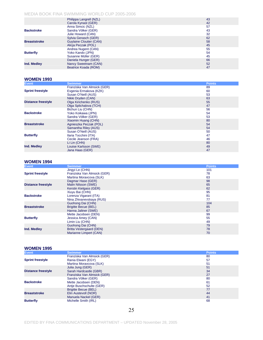|                     | Philippa Langrell (NZL)        | 43 |
|---------------------|--------------------------------|----|
|                     | Carola Kynast (GER)            | 42 |
|                     | Anna Simcic (NZL)              | 57 |
| <b>Backstroke</b>   | Sandra Völker (GER)            | 43 |
|                     | Julie Howard (CAN)             | 32 |
|                     | Sylvia Gerasch (GER)           | 62 |
| <b>Breaststroke</b> | <b>Guylaine Cloutier (CAN)</b> | 58 |
|                     | Alicia Peczak (POL)            | 45 |
|                     | Andrea Nugent (CAN)            | 55 |
| <b>Butterfly</b>    | Yoko Kando (JPN)               | 54 |
|                     | Susanne Müller (GER)           | 45 |
|                     | Daniela Hunger (GER)           | 66 |
| Ind. Medley         | Nancy Sweetnam (CAN)           | 52 |
|                     | Beatrice Koada (ROM)           | 47 |

#### **WOMEN 1993**

| <b>Event</b>              | <b>Swimmer</b>              | <b>Points</b> |
|---------------------------|-----------------------------|---------------|
|                           | Franziska Van Almsick (GER) | 89            |
| <b>Sprint freestyle</b>   | Evgenia Ermakova (KZK)      | 60            |
|                           | Susan O'Neill (AUS)         | 53            |
|                           | Nikki Dryden (CAN)          | 63            |
| <b>Distance freestyle</b> | Olga Kirichenko (RUS)       | 55            |
|                           | Olga Splichalova (TCH)      | 47            |
|                           | Bichun Liu (CHN)            | 56            |
| <b>Backstroke</b>         | Yoko Koikawa (JPN)          | 54            |
|                           | Sandra Völker (GER)         | 53            |
|                           | Xiaomin Huang (CHN)         | 80            |
| <b>Breaststroke</b>       | Agnieszka Peczak (POL)      | 54            |
|                           | Samantha Riley (AUS)        | 54            |
|                           | Susan O'Neill (AUS)         | 50            |
| <b>Butterfly</b>          | Ilaria Tocchini (ITA)       | 47            |
|                           | Cecile Jeanson (FRA)        | 46            |
|                           | Li Lin (CHN)                | 80            |
| Ind. Medley               | Louise Karlsson (SWE)       | 49            |
|                           | Jana Haas (GER)             | 47            |

#### **WOMEN 1994**

| <b>Event</b>              | <b>Swimmer</b>                  | <b>Points</b> |
|---------------------------|---------------------------------|---------------|
|                           | Jingyi Le (CHN)                 | 101           |
| <b>Sprint freestyle</b>   | Franziska Van Almsick (GER)     | 78            |
|                           | Martina Moravcova (SLK)         | 63            |
|                           | Dagmar Hase (GER)               | 98            |
| <b>Distance freestyle</b> | Malin Nilsson (SWE)             | 65            |
|                           | Kerstin Kielgass (GER)          | 62            |
|                           | Xiuyu Bai (CHN)                 | 95            |
| <b>Backstroke</b>         | Lorenza Vigarani (ITA)          | 81            |
|                           | Nina Zhivanevskaya (RUS)        | 77            |
|                           | Guohong Dai (CHN)               | 104           |
| <b>Breaststroke</b>       | <b>Brigitte Becue (BEL)</b>     | 85            |
|                           | Hanna Jaltner (SWE)             | 67            |
|                           | Mette Jacobsen (DEN)            | 99            |
| <b>Butterfly</b>          | Jessica Amey (CAN)              | 55            |
|                           | Limin Liu (CHN)                 | 49            |
|                           | Guohong Dai (CHN)               | 79            |
| Ind. Medley               | <b>Britta Vestergaard (DEN)</b> | 78            |
|                           | Marianne Limpert (CAN)          | 70            |

#### **WOMEN 1995**

| Event                     | <b>Swimmer</b>              | <b>Points</b> |
|---------------------------|-----------------------------|---------------|
|                           | Franziska Van Almsick (GER) | 80            |
| <b>Sprint freestyle</b>   | Rania Elwani (EGY)          | 57            |
|                           | Martina Moravcova (SLK)     | 51            |
|                           | Julia Jung (GER)            | 51            |
| <b>Distance freestyle</b> | Sarah Hardcastle (GBR)      | 34            |
|                           | Franziska Van Almsick (GER) | 27            |
|                           | Sandra Völker (GER)         | 80            |
| <b>Backstroke</b>         | Mette Jacobsen (DEN)        | 61            |
|                           | Antie Buschschulte (GER)    | 52            |
|                           | <b>Brigitte Becue (BEL)</b> | 77            |
| <b>Breaststroke</b>       | Elin Austevoll (NOR)        | 44            |
|                           | Manuela Nackel (GER)        | 41            |
| <b>Butterfly</b>          | Michelle Smith (IRL)        | 68            |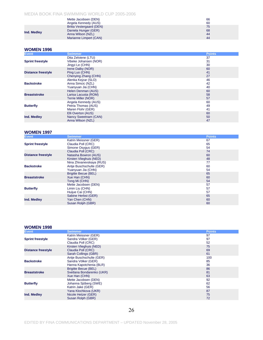|             | Mette Jacobsen (DEN)<br>Angela Kennedy (AUS)                                                    | 66<br>60             |
|-------------|-------------------------------------------------------------------------------------------------|----------------------|
| Ind. Medley | Britta Vestergaard (DEN)<br>Daniela Hunger (GER)<br>Anna Wilson (NZL)<br>Marianne Limpert (CAN) | 75<br>68<br>44<br>44 |

#### **WOMEN 1996**

| <b>Event</b>              | <b>Swimmer</b>             | <b>Points</b> |
|---------------------------|----------------------------|---------------|
|                           | Dita Zelviene (LTU)        | 37            |
| <b>Sprint freestyle</b>   | Vibeke Johansen (NOR)      | 31            |
|                           | Jingvi Le (CHN)            | 30            |
|                           | Irene Dalby (NOR)          | 60            |
| <b>Distance freestyle</b> | Ping Luo (CHN)             | 41            |
|                           | Chenying Zhang (CHN)       | 27            |
|                           | Alenka Kejzar (SLO)        | 46            |
| <b>Backstroke</b>         | Anna Simcic (NZL)          | 42            |
|                           | Yuanyuan Jia (CHN)         | 40            |
|                           | Helen Denman (AUS)         | 60            |
| <b>Breaststroke</b>       | Larisa Lacusta (ROM)       | 58            |
|                           | <b>Terrie Miller (NOR)</b> | 57            |
|                           | Angela Kennedy (AUS)       | 60            |
| <b>Butterfly</b>          | Petria Thomas (AUS)        | 49            |
|                           | Maren Flohr (GER)          | 41            |
|                           | Elli Overton (AUS)         | 60            |
| Ind. Medley               | Nancy Sweetnam (CAN)       | 50            |
|                           | Anna Wilson (NZL)          | 47            |

#### **WOMEN 1997**

| <b>Event</b>              | <b>Swimmer</b>              | <b>Points</b> |
|---------------------------|-----------------------------|---------------|
|                           | Katrin Meissner (GER)       | 67            |
| <b>Sprint freestyle</b>   | Claudia Poll (CRC)          | 65            |
|                           | Simone Osygus (GER)         | 54            |
|                           | Claudia Poll (CRC)          | 74            |
| <b>Distance freestyle</b> | Natasha Bowron (AUS)        | 60            |
|                           | Kirsten Vlieghuis (NED)     | 48            |
|                           | Nina Zhivanevskaya (RUS)    | 77            |
| <b>Backstroke</b>         | Antje Buschschulte (GER)    | 60            |
|                           | Yuanyuan Jia (CHN)          | 54            |
|                           | <b>Brigitte Becue (BEL)</b> | 65            |
| <b>Breaststroke</b>       | Xue Han (CHN)               | 60            |
|                           | Tong Mi (CHN)               | 54            |
|                           | Mette Jacobsen (DEN)        | 57            |
| <b>Butterfly</b>          | Limin Liu (CHN)             | 57            |
|                           | Huijue Cai (CHN)            | 57            |
|                           | Sabine Herbst (GER)         | 65            |
| Ind. Medley               | Yan Chen (CHN)              | 60            |
|                           | Susan Rolph (GBR)           | 60            |

#### **WOMEN 1998**

| <b>Event</b>              | <b>Swimmer</b>              | <b>Points</b> |
|---------------------------|-----------------------------|---------------|
|                           | Katrin Meissner (GER)       | 97            |
| <b>Sprint freestyle</b>   | Sandra Völker (GER)         | 97            |
|                           | Claudia Poll (CRC)          | 52            |
|                           | Kirsten Vlieghuis (NED)     | 75            |
| <b>Distance freestyle</b> | Claudia Poll (CRC)          | 69            |
|                           | Sarah Collings (GBR)        | 61            |
|                           | Antje Buschschulte (GER)    | 100           |
| <b>Backstroke</b>         | Sandra Völker (GER)         | 85            |
|                           | Hanna Kapotchenia (BLR)     | 36            |
|                           | <b>Brigitte Becue (BEL)</b> | 86            |
| <b>Breaststroke</b>       | Svetlana Bondarenko (UKR)   | 81            |
|                           | Xue Han (CHN)               | 63            |
|                           | Mette Jacobsen (DEN)        | 92            |
| <b>Butterfly</b>          | Johanna Sjöberg (SWE)       | 62            |
|                           | Katrin Jake (GER)           | 56            |
|                           | Yana Klochkova (UKR)        | 87            |
| Ind. Medley               | Nicole Hetzer (GER)         | 75            |
|                           | Susan Rolph (GBR)           | 72            |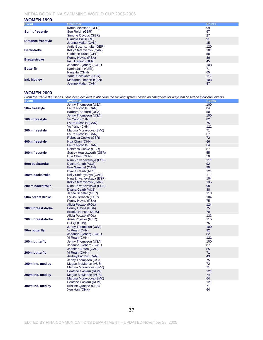#### **WOMEN 1999**

| <b>Event</b>              | <b>Swimmer</b>           | <b>Points</b> |
|---------------------------|--------------------------|---------------|
|                           | Katrin Meissner (GER)    | 99            |
| <b>Sprint freestyle</b>   | Sue Rolph (GBR)          | 97            |
|                           | Simone Osygus (GER)      | 27            |
| <b>Distance freestyle</b> | Claudia Poll (CRC)       | 91            |
|                           | Joanne Malar (CAN)       | 15            |
|                           | Antie Buschschulte (GER) | 120           |
| <b>Backstroke</b>         | Kelly Stefanyshyn (CAN)  | 101           |
|                           | Cathleen Rund (GER)      | 58            |
| <b>Breaststroke</b>       | Penny Heyns (RSA)        | 86            |
|                           | Ina Hueging (GER)        | 45            |
|                           | Johanna Sjöberg (SWE)    | 103           |
| <b>Butterfly</b>          | Katrin Jake (GER)        | 71            |
|                           | Ning Hu (CHN)            | 65            |
|                           | Yana Klochkova (UKR)     | 117           |
| Ind. Medley               | Marianne Limpert (CAN)   | 103           |
|                           | Joanne Malar (CAN)       | 87            |

#### **WOMEN 2000**

*From the 1999/2000 series it has been decided to abandon the ranking system based on categories for a system based on individual events*

| <b>Event</b>      | <b>Swimmer</b>                                                           | <b>Points</b>     |
|-------------------|--------------------------------------------------------------------------|-------------------|
| 50m freestyle     | Jenny Thompson (USA)<br>Laura Nicholls (CAN)<br>Barbara Bedford (USA)    | 100<br>84<br>50   |
| 100m freestyle    | Jenny Thompson (USA)<br>Yu Yang (CHN)<br>Laura Nicholls (CAN)            | 100<br>82<br>75   |
| 200m freestyle    | Yu Yang (CHN)<br>Martina Moravcova (SVK)<br>Laura Nicholls (CAN)         | 121<br>71<br>67   |
| 400m freestyle    | Rebecca Cooke (GBR)<br>Hua Chen (CHN)<br>Laura Nicholls (CAN)            | 72<br>66<br>64    |
| 800m freestyle    | Rebecca Cooke (GBR)<br>Stacey Houldsworth (GBR)<br>Hua Chen (CHN)        | 87<br>55<br>50    |
| 50m backstroke    | Nina Zhivanevskaya (ESP)<br>Dyana Calub (AUS)<br>Erin Gammel (CAN)       | 111<br>92<br>90   |
| 100m backstroke   | Dyana Calub (AUS)<br>Kelly Stefanyshyn (CAN)<br>Nina Zhivanevskaya (ESP) | 121<br>111<br>104 |
| 200 m backstroke  | Kelly Stefanyshyn (CAN)<br>Nina Zhivanevskaya (ESP)<br>Dyana Calub (AUS) | 135<br>98<br>88   |
| 50m breaststroke  | Janne Schäfer (GER)<br>Sylvia Gerasch (GER)<br>Penny Heyns (RSA)         | 118<br>104<br>75  |
| 100m breaststroke | Alicja Peczak (POL)<br>Penny Heyns (RSA)<br><b>Brooke Hanson (AUS)</b>   | 124<br>75<br>70   |
| 200m breaststroke | Alicja Peczak (POL)<br>Anne Poleska (GER)<br>Hui Qi (CHN)                | 133<br>115<br>75  |
| 50m butterfly     | Jenny Thompson (USA)<br>Yi Ruan (CHN)<br>Johanna Sjöberg (SWE)           | 100<br>92<br>82   |
| 100m butterfly    | Yi Ruan (CHN)<br>Jenny Thompson (USA)<br>Johanna Sjöberg (SWE)           | 121<br>100<br>87  |
| 200m butterfly    | Jennifer Button (CAN)<br>Yi Ruan (CHN)<br>Audrey Lacroix (CAN)           | 85<br>71<br>43    |
| 100m Ind. medley  | Jenny Thompson (USA)<br>Megan McMahon (AUS)<br>Martina Moravcova (SVK)   | 75<br>72<br>71    |
| 200m Ind. medley  | Beatrice Caslaru (ROM)<br>Megan McMahon (AUS)<br>Martina Moravcova (SVK) | 121<br>74<br>64   |
| 400m Ind. medley  | Beatrice Caslaru (ROM)<br>Kristine Quance (USA)<br>Xue Han (CHN)         | 121<br>71<br>64   |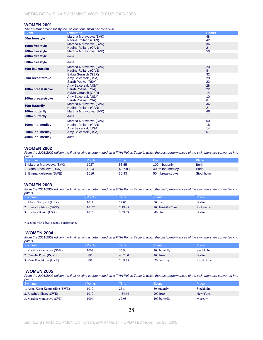#### **WOMEN 2001**

*The swimmer must satisfy the "at least one swim per zone" rule*

| <b>Event</b>      | <b>Swimmer</b>                                                         | <b>Points</b>        |
|-------------------|------------------------------------------------------------------------|----------------------|
| 50m freestyle     | Martina Moravcova (SVK)<br>Nadine Rolland (CAN)                        | 48<br>42             |
| 100m freestyle    | Martina Moravcova (SVK)<br>Nadine Rolland (CAN)                        | 36<br>$\overline{2}$ |
| 200m freestyle    | Martina Moravcova (SVK)                                                | 50                   |
| 400m freestyle    | none                                                                   |                      |
| 800m freestyle    | none                                                                   |                      |
| 50m backstroke    | Martina Moravcova (SVK)<br>Nadine Rolland (CAN)                        | 20<br>8              |
| 50m breaststroke  | Sylvia Gerasch (GER)<br>Amy Balcerzak (USA)<br>Sarah Poewe (RSA)       | 32<br>28<br>22       |
| 100m breaststroke | Amy Balcerzak (USA)<br>Sarah Poewe (RSA)<br>Sylvia Gerasch (GER)       | 28<br>22<br>14       |
| 200m breaststroke | Amy Balcerzak (USA)<br>Sarah Poewe (RSA)                               | 10<br>6              |
| 50m butterfly     | Martina Moravcova (SVK)<br>Nadine Rolland (CAN)                        | 36<br>$\overline{2}$ |
| 100m butterfly    | Martina Moravcova (SVK)                                                | 46                   |
| 200m butterfly    | none                                                                   |                      |
| 100m Ind. medley  | Martina Moravcova (SVK)<br>Nadine Rolland (CAN)<br>Amy Balcerzak (USA) | 60<br>18<br>14       |
| 200m Ind. medley  | Amy Balcerzak (USA)                                                    | 6                    |
| 400m Ind. medlev  | none                                                                   |                      |

#### **WOMEN 2002**

*From the 2001/2002 edition the final ranking is determined on a FINA Points Table in which the best performances of the swimmers are converted into points*

| Swimmer                    | Points | <b>Time</b> | Event            | Place         |
|----------------------------|--------|-------------|------------------|---------------|
| 1. Martina Moravcova (SVK) | 1027   | 56.55       | 100m butterfly   | <b>Berlin</b> |
| 2. Yana Klochkova (UKR)    | 1024   | 4:27.83     | 400m Ind. medley | Paris         |
| 3. Emma Igelstrom (SWE)    | 1016   | 30.43       | 50m breaststroke | Stockholm     |

#### **WOMEN 2003**

*From the 2001/2002 edition the final ranking is determined on a FINA Points Table in which the best performances of the swimmers are converted into points*

| Swimmer                  | Points  | Time'   | Event            | Place     |
|--------------------------|---------|---------|------------------|-----------|
| 1. Alison Sheppard (GBR) | 1014    | 24.06   | 50 free          | Berlin    |
| 2. Emma Igelstrom (SWE)  | $1013*$ | 2:19.85 | 200 breaststroke | Melbourne |
| 3. Lindsay Benko (USA)   | 1013    | 3:59.53 | $400$ free       | Berlin    |

\* second with a best second performance

#### **WOMEN 2004**

*From the 2001/2002 edition the final ranking is determined on a FINA Points Table in which the best performances of the swimmers are converted into points*

| Swimmer                    | Points <sup>1</sup> | <b>Time</b> | Event         | Place          |
|----------------------------|---------------------|-------------|---------------|----------------|
| 1. Martina Moravcova (SVK) | 1007                | 56.90       | 100 butterfly | Stockholm      |
| 2. Camelia Potec (ROM)     | 996                 | 4:02.00     | $400$ free    | Berlin         |
| 3. Yana Klochkova (UKR)    | 99                  | 2:09.75     | 200 medley    | Rio de Janeiro |

#### **WOMEN 2005**

*From the 2001/2002 edition the final ranking is determined on a FINA Points Table in which the best performances of the swimmers are converted into points*

| Swimmer                        | <b>Points</b> | <b>Time</b> | Event         | Place     |
|--------------------------------|---------------|-------------|---------------|-----------|
| 1. Anna-Karin Kammerling (SWE) | 1019          | 25.84       | 50 butterfly  | Stockholm |
| 2. Josefin Lillhage (SWE)      | 1010          | 1:54.64     | $200$ free    | New York  |
| 3. Martina Moravcova (SVK)     | 1004          | 57.08       | 100 butterfly | Moscow    |

28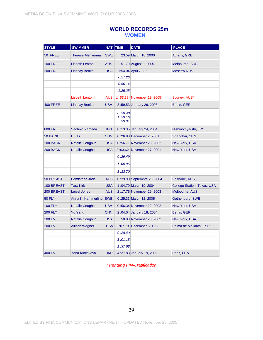### **WORLD RECORDS 25m WOMEN**

| <b>STYLE</b>    | <b>SWIMMER</b>           |            | NAT. TIME                     | <b>DATE</b>                 | <b>PLACE</b>                       |
|-----------------|--------------------------|------------|-------------------------------|-----------------------------|------------------------------------|
| 50 FREE         | <b>Therese Alshammar</b> | <b>SWE</b> |                               | 23.59 March 18, 2000        | Athens, GRE                        |
| <b>100 FREE</b> | <b>Lisbeth Lenton</b>    | <b>AUS</b> |                               | 51.70 August 9, 2005        | Melbourne, AUS                     |
| <b>200 FREE</b> | <b>Lindsay Benko</b>     | <b>USA</b> |                               | 1:54.04 April 7, 2002       | <b>Moscow RUS</b>                  |
|                 |                          |            | 0:27.26                       |                             |                                    |
|                 |                          |            | 0:56.14                       |                             |                                    |
|                 |                          |            | 1:25.25                       |                             |                                    |
|                 | Lisbeth Lenton*          | <b>AUS</b> |                               | 1:53.29* November 19, 2005* | Sydney, AUS*                       |
| <b>400 FREE</b> | <b>Lindsay Benko</b>     | <b>USA</b> |                               | 3:59.53 January 26, 2003    | Berlin, GER                        |
|                 |                          |            | 0:58.48<br>1:59.16<br>2:59.91 |                             |                                    |
| <b>800 FREE</b> | Sachiko Yamada           | <b>JPN</b> |                               | 8:13.35 January 24, 2004    | Nishinomya-shi, JPN                |
| 50 BACK         | Hui Li                   | <b>CHN</b> |                               | 0:26.83 December 2, 2001    | Shanghai, CHN                      |
| 100 BACK        | <b>Natalie Coughlin</b>  | <b>USA</b> |                               | 0:56.71 November 23, 2002   | <b>New York, USA</b>               |
| 200 BACK        | <b>Natalie Coughlin</b>  | <b>USA</b> |                               | 2:03.62 November 27, 2001   | New York, USA                      |
|                 |                          |            | 0:29.49                       |                             |                                    |
|                 |                          |            | 1:00.96                       |                             |                                    |
|                 |                          |            | 1:32.70                       |                             |                                    |
| 50 BREAST       | <b>Edmistone Jade</b>    | <b>AUS</b> |                               | 0:29.90 Septembre 26, 2004  | <b>Brisbane, AUS</b>               |
| 100 BREAST      | <b>Tara Kirk</b>         | <b>USA</b> |                               | 1:04,79 March 19, 2004      | <b>College Station, Texas, USA</b> |
| 200 BREAST      | <b>Leisel Jones</b>      | <b>AUS</b> |                               | 2:17.75 November 29, 2003   | Melbourne, AUS                     |
| <b>50 FLY</b>   | Anna K. Kammerling SWE   |            |                               | 0 :25.33 March 12, 2005     | Gothenburg, SWE                    |
| <b>100 FLY</b>  | <b>Natalie Coughlin</b>  | <b>USA</b> |                               | 0:56.34 November 22, 2002   | <b>New York, USA</b>               |
| <b>200 FLY</b>  | <b>Yu Yang</b>           | <b>CHN</b> |                               | 2 :04.04 January 18, 2004   | Berlin, GER                        |
| 100 I.M.        | <b>Natalie Coughlin</b>  | <b>USA</b> |                               | 58.80 November 23, 2002     | New York, USA                      |
| 200 I.M.        | <b>Allison Wagner</b>    | <b>USA</b> |                               | 2:07.79 December 5, 1993    | Palma de Mallorca, ESP             |
|                 |                          |            | 0:28.40                       |                             |                                    |
|                 |                          |            | 1:01.18                       |                             |                                    |
|                 |                          |            | 1:37.68                       |                             |                                    |
| 400 I.M.        | Yana Klochkova           | <b>UKR</b> |                               | 4:27.83 January 19, 2002    | Paris, FRA                         |

*\* Pending FINA ratification*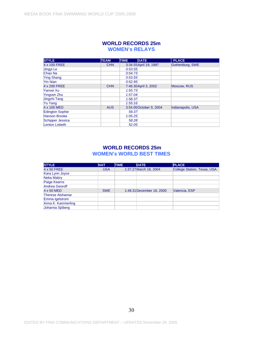### **WORLD RECORDS 25m WOMEN's RELAYS**

| <b>STYLE</b>           | <b>TEAM</b> | <b>TIME</b> | <b>DATE</b>             | <b>PLACE</b>      |
|------------------------|-------------|-------------|-------------------------|-------------------|
| 4 x 100 FREE           | <b>CHN</b>  |             | 3:34.55 April 19, 1997  | Gothenburg, SWE   |
| Jingvi Le              |             | 0:53.55     |                         |                   |
| Chao Na                |             | 0:54.73     |                         |                   |
| <b>Ying Shang</b>      |             | 0:53.55     |                         |                   |
| Yin Nian               |             | 0:52.95     |                         |                   |
| 4 x 200 FREE           | <b>CHN</b>  |             | 7:46.30 April 3, 2002   | Moscow, RUS       |
| Yanvei Xu              |             | 1:55.73     |                         |                   |
| Yingven Zhu            |             | 1:57.04     |                         |                   |
| Jingzhi Tang           |             | 1:58.37     |                         |                   |
| Yu Yang                |             | 1:55:16     |                         |                   |
| 4 x 100 MED            | <b>AUS</b>  |             | 3:54.95 October 9, 2004 | Indianapolis, USA |
| <b>Edington Sophie</b> |             | 59.37       |                         |                   |
| <b>Hanson Brooke</b>   |             | 1:05.25     |                         |                   |
| Schipper Jessica       |             | 58.28       |                         |                   |
| <b>Lenton Lisbeth</b>  |             | 52.05       |                         |                   |

### **WORLD RECORDS 25m WOMEN's WORLD BEST TIMES**

| <b>STYLE</b>            | <b>NAT</b> | <b>TIME</b> | <b>DATE</b>               | <b>PLACE</b>                       |
|-------------------------|------------|-------------|---------------------------|------------------------------------|
| 4 x 50 FREE             | <b>USA</b> |             | 1:37,27 March 18, 2004    | <b>College Station, Texas, USA</b> |
| Kara Lynn Joyce         |            |             |                           |                                    |
| Neka Mabry              |            |             |                           |                                    |
| Paige Kearns            |            |             |                           |                                    |
| <b>Andrea Georoff</b>   |            |             |                           |                                    |
| 4 x 50 MED              | <b>SWE</b> |             | 1:48.31 December 16, 2000 | Valencia, ESP                      |
| <b>Therese Alshamar</b> |            |             |                           |                                    |
| Emma Igelstrom          |            |             |                           |                                    |
| Anna K. Kammerling      |            |             |                           |                                    |
| Johanna Sjöberg         |            |             |                           |                                    |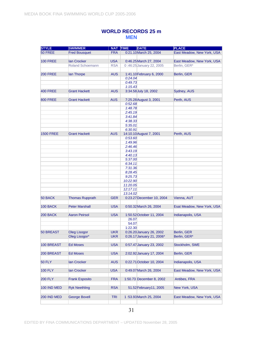### **WORLD RECORDS 25 m MEN**

| <b>STYLE</b>     | <b>SWIMMER</b>          | NAT TIME   | <b>DATE</b>               | <b>PLACE</b>               |
|------------------|-------------------------|------------|---------------------------|----------------------------|
| 50 FREE          | <b>Fred Bousquet</b>    | <b>FRA</b> | 0:21.10 March 25, 2004    | East Meadow, New York, USA |
|                  |                         |            |                           |                            |
| <b>100 FREE</b>  | <b>Ian Crocker</b>      | <b>USA</b> | 0:46.25 March 27, 2004    | East Meadow, New York, USA |
|                  | <b>Roland Schoemann</b> | <b>RSA</b> | 0:46:25 January 22, 2005  | Berlin, GER*               |
|                  |                         |            |                           |                            |
| <b>200 FREE</b>  | lan Thorpe              | <b>AUS</b> | 1:41.10 February 6, 2000  | Berlin, GER                |
|                  |                         |            | 0:24.04                   |                            |
|                  |                         |            | 0:49.73                   |                            |
|                  |                         |            | 1:15.43                   |                            |
|                  |                         |            |                           |                            |
| <b>400 FREE</b>  | <b>Grant Hackett</b>    | <b>AUS</b> | 3:34.58 July 18, 2002     | Sydney, AUS                |
|                  |                         |            |                           |                            |
| <b>800 FREE</b>  | <b>Grant Hackett</b>    | <b>AUS</b> | 7:25.28 August 3, 2001    | Perth, AUS                 |
|                  |                         |            | 0:52.68                   |                            |
|                  |                         |            | 1:48.78                   |                            |
|                  |                         |            | 2:45.19                   |                            |
|                  |                         |            | 3:41.84                   |                            |
|                  |                         |            | 4:38.33                   |                            |
|                  |                         |            | 5:35.01                   |                            |
|                  |                         |            | 6:30.91                   |                            |
| <b>1500 FREE</b> | <b>Grant Hackett</b>    | <b>AUS</b> | 14:10.10 August 7, 2001   | Perth, AUS                 |
|                  |                         |            | 0:53.60                   |                            |
|                  |                         |            | 1:49.96                   |                            |
|                  |                         |            | 2:46.46                   |                            |
|                  |                         |            | 3:43.19                   |                            |
|                  |                         |            | 4:40.13                   |                            |
|                  |                         |            | 5:37.00                   |                            |
|                  |                         |            | 6:34.11                   |                            |
|                  |                         |            | 7:31.36                   |                            |
|                  |                         |            | 8:28.45                   |                            |
|                  |                         |            | 9:25.73                   |                            |
|                  |                         |            | 10:22.90                  |                            |
|                  |                         |            | 11:20.05                  |                            |
|                  |                         |            | 12:17.11                  |                            |
|                  |                         |            | 13:14.02                  |                            |
| 50 BACK          | <b>Thomas Rupprath</b>  | <b>GER</b> | 0:23.27 December 10, 2004 | Vienna, AUT                |
|                  |                         |            |                           |                            |
| <b>100 BACK</b>  | <b>Peter Marshall</b>   | <b>USA</b> | 0:50.32 March 26, 2004    | Esat Meadow, New York, USA |
|                  |                         |            |                           |                            |
| 200 BACK         | <b>Aaron Peirsol</b>    | <b>USA</b> | 1:50.52 October 11, 2004  | Indianapolis, USA          |
|                  |                         |            | 26.07                     |                            |
|                  |                         |            | 54.07                     |                            |
|                  |                         |            | 1:22.30                   |                            |
| <b>50 BREAST</b> | <b>Oleg Lisogor</b>     | UKR        | 0:26.20 January 26, 2002  | Berlin, GER                |
|                  | Oleg Lisogor*           |            | 0:26.17 January 21, 2006* | Berlin, GER*               |
|                  |                         | <b>UKR</b> |                           |                            |
|                  |                         |            |                           |                            |
| 100 BREAST       | <b>Ed Moses</b>         | <b>USA</b> | 0:57.47 January 23, 2002  | Stockholm, SWE             |
|                  |                         |            |                           |                            |
| 200 BREAST       | <b>Ed Moses</b>         | <b>USA</b> | 2:02.92 January 17, 2004  | Berlin, GER                |
|                  |                         |            |                           |                            |
| <b>50 FLY</b>    | lan Crocker             | <b>AUS</b> | 0:22.71 October 10, 2004  | Indianapolis, USA          |
|                  |                         |            |                           |                            |
| <b>100 FLY</b>   | lan Crocker             | <b>USA</b> | 0:49.07 March 26, 2004    | East Meadow, New York, USA |
|                  |                         |            |                           |                            |
| <b>200 FLY</b>   | <b>Frank Esposito</b>   | <b>FRA</b> | 1:50.73 December 8, 2002  | Antibes, FRA               |
|                  |                         |            |                           |                            |
| 100 IND MED      | <b>Ryk Neethling</b>    | <b>RSA</b> | 51.52 February 11, 2005   | New York, USA              |
|                  |                         |            |                           |                            |
| 200 IND MED      | <b>George Bovell</b>    | <b>TRI</b> | 1:53.93 March 25, 2004    | East Meadow, New York, USA |
|                  |                         |            |                           |                            |
|                  |                         |            |                           |                            |

31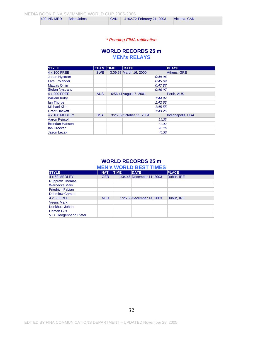| 400 IND MED | <b>Brian Johns</b> | <b>CAN</b> | 4:02.72 February 21, 2003 | Victoria, CAN |
|-------------|--------------------|------------|---------------------------|---------------|
|             |                    |            |                           |               |

#### *\* Pending FINA ratification*

#### **WORLD RECORDS 25 m MEN's RELAYS**

| <b>STYLE</b>           | <b>TEAM</b> | <b>TIME</b> | <b>DATE</b>              | <b>PLACE</b>      |
|------------------------|-------------|-------------|--------------------------|-------------------|
| 4 x 100 FREE           | <b>SWE</b>  |             | 3:09.57 March 16, 2000   | Athens, GRE       |
| <b>Johan Nystrom</b>   |             |             | 0:49.04                  |                   |
| Lars Frolander         |             |             | 0:45.69                  |                   |
| <b>Mattias Ohlin</b>   |             |             | 0:47.87                  |                   |
| <b>Stefan Nystrand</b> |             |             | 0:46.97                  |                   |
| 4 x 200 FREE           | <b>AUS</b>  |             | 6:56.41 August 7, 2001   | Perth, AUS        |
| <b>William Kirby</b>   |             |             | 1:44.97                  |                   |
| lan Thorpe             |             |             | 1:42.63                  |                   |
| <b>Michael Klim</b>    |             |             | 1:45.55                  |                   |
| <b>Grant Hackett</b>   |             |             | 1:43.26                  |                   |
| 4 x 100 MEDLEY         | <b>USA</b>  |             | 3:25.09 October 11, 2004 | Indianapolis, USA |
| Aaron Peirsol          |             |             | 51:35                    |                   |
| <b>Brendan Hansen</b>  |             |             | 57.42                    |                   |
| lan Crocker            |             |             | 49.76                    |                   |
| <b>Jason Lezak</b>     |             |             | 46.56                    |                   |

#### **WORLD RECORDS 25 m MEN's WORLD BEST TIMES**

| <b>STYLE</b>            | NAT.       | <b>TIME</b> | <b>DATE</b>               | <b>PLACE</b> |
|-------------------------|------------|-------------|---------------------------|--------------|
| 4 x 50 MEDLEY           | <b>GER</b> |             | 1:34.46 December 11, 2003 | Dublin, IRE  |
| <b>Rupprath Thomas</b>  |            |             |                           |              |
| <b>Warnecke Mark</b>    |            |             |                           |              |
| <b>Friedrich Fabian</b> |            |             |                           |              |
| <b>Dehmlow Carsten</b>  |            |             |                           |              |
| 4 x 50 FREE             | <b>NED</b> |             | 1:25.55 December 14, 2003 | Dublin, IRE  |
| <b>Veens Mark</b>       |            |             |                           |              |
| Kenkhuis Johan          |            |             |                           |              |
| Damen Gijs              |            |             |                           |              |
| V.D. Hoogenband Pieter  |            |             |                           |              |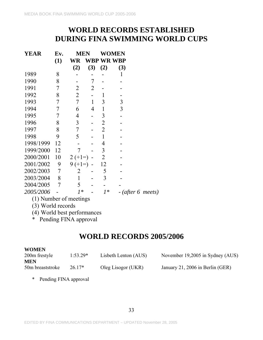# **WORLD RECORDS ESTABLISHED DURING FINA SWIMMING WORLD CUPS**

| <b>YEAR</b>              | Ev. | MEN            |     |                | <b>WOMEN</b> |                     |
|--------------------------|-----|----------------|-----|----------------|--------------|---------------------|
|                          | (1) | WR             |     | WBP WR WBP     |              |                     |
|                          |     | (2)            | (3) | (2)            | (3)          |                     |
| 1989                     | 8   |                |     |                | 1            |                     |
| 1990                     | 8   |                | 7   |                |              |                     |
| 1991                     | 7   | $\overline{2}$ | 2   |                |              |                     |
| 1992                     | 8   | $\overline{2}$ |     | 1              |              |                     |
| 1993                     | 7   | 7              | 1   | 3              | 3            |                     |
| 1994                     | 7   | 6              | 4   | 1              | 3            |                     |
| 1995                     | 7   | $\overline{4}$ |     | 3              |              |                     |
| 1996                     | 8   | 3              |     | $\overline{2}$ |              |                     |
| 1997                     | 8   | 7              |     | $\overline{2}$ |              |                     |
| 1998                     | 9   | 5              |     | $\mathbf{1}$   |              |                     |
| 1998/1999                | 12  |                |     | 4              |              |                     |
| 1999/2000                | 12  | 7              |     | 3              |              |                     |
| 2000/2001                | 10  | $2 (+1=)$      |     | $\overline{2}$ |              |                     |
| 2001/2002                | 9   | $9 (+1=)$      |     | 12             |              |                     |
| 2002/2003                | 7   | 2              |     | 5              |              |                     |
| 2003/2004                | 8   | 1              |     | 3              |              |                     |
| 2004/2005                | 7   | 5              |     |                |              |                     |
| 2005/2006                |     | $1*$           |     | $1*$           |              | $-$ (after 6 meets) |
| (1) Number of meetings   |     |                |     |                |              |                     |
| $(2)$ $W_{\rm{2}}$ $(1)$ |     |                |     |                |              |                     |

- (3) World records
- (4) World best performances
- \* Pending FINA approval

# **WORLD RECORDS 2005/2006**

| <b>WOMEN</b>     |            |                      |                                  |
|------------------|------------|----------------------|----------------------------------|
| 200m frestyle    | $1:53.29*$ | Lisbeth Lenton (AUS) | November 19,2005 in Sydney (AUS) |
| <b>MEN</b>       |            |                      |                                  |
| 50m breaststroke | $26.17*$   | Oleg Lisogor (UKR)   | January 21, 2006 in Berlin (GER) |

\* Pending FINA approval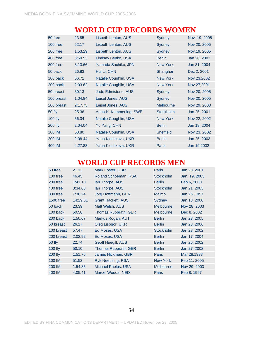| 50 free        | 23.85   | Lisbeth Lenton, AUS     | Sydney           | Nov. 19, 2005 |
|----------------|---------|-------------------------|------------------|---------------|
| $100$ free     | 52.17   | Lisbeth Lenton, AUS     | Sydney           | Nov 20, 2005  |
| 200 free       | 1:53.29 | Lisbeth Lenton, AUS     | Sydney           | Nov.19, 2005  |
| 400 free       | 3:59.53 | Lindsay Benko, USA      | <b>Berlin</b>    | Jan 26, 2003  |
| 800 free       | 8:13.66 | Yamada Sachiko, JPN     | <b>New York</b>  | Jan 31, 2004  |
| 50 back        | 26:83   | Hui Li, CHN             | Shanghai         | Dec 2, 2001   |
| 100 back       | 56.71   | Natalie Coughlin, USA   | <b>New York</b>  | Nov 23,2002   |
| 200 back       | 2:03.62 | Natalie Coughlin, USA   | <b>New York</b>  | Nov 27,2001   |
| 50 breast      | 30.13   | Jade Edmistone, AUS     | Sydney           | Nov 20, 2005  |
| 100 breast     | 1:04.84 | Leisel Jones, AUS       | Sydney           | Nov 20, 2005  |
| 200 breast     | 2:17.75 | Leisel Jones, AUS       | <b>Melbourne</b> | Nov 29, 2003  |
| 50 fly         | 25.36   | Anna-K. Kammerling, SWE | Stockholm        | Jan 25, 2001  |
| $100$ fly      | 56.34   | Natalie Coughlin, USA   | <b>New York</b>  | Nov 22, 2002  |
| <b>200 fly</b> | 2:04.04 | Yu Yang, CHN            | <b>Berlin</b>    | Jan 18, 2004  |
| 100 IM         | 58.80   | Natalie Coughlin, USA   | <b>Sheffield</b> | Nov 23, 2002  |
| 200 IM         | 2:08.44 | Yana Klochkova, UKR     | <b>Berlin</b>    | Jan 25, 2003  |
| 400 IM         | 4:27.83 | Yana Klochkova, UKR     | <b>Paris</b>     | Jan 19,2002   |

# **WORLD CUP RECORDS WOMEN**

# **WORLD CUP RECORDS MEN**

| 50 free          | 21.13    | Mark Foster, GBR          | <b>Paris</b>     | Jan 28, 2001  |
|------------------|----------|---------------------------|------------------|---------------|
| 100 free         | 46.45    | Roland Schoeman, RSA      | <b>Stockholm</b> | Jan. 19, 2005 |
| 200 free         | 1:41.10  | lan Thorpe, AUS           | <b>Berlin</b>    | Feb 6, 2000   |
| 400 free         | 3:34.63  | lan Thorpe, AUS           | <b>Stockholm</b> | Jan 21, 2003  |
| 800 free         | 7:36.24  | Jörg Hoffmann, GER        | Malmö            | Jan 26, 1997  |
| <b>1500 free</b> | 14:29.51 | <b>Grant Hackett, AUS</b> | Sydney           | Jan 18, 2000  |
| 50 back          | 23.39    | Matt Welsh, AUS           | <b>Melbourne</b> | Nov 28, 2003  |
| 100 back         | 50.58    | Thomas Rupprath, GER      | Melbourne        | Dec 8, 2002   |
| 200 back         | 1:50.67  | Markus Rogan, AUT         | <b>Berlin</b>    | Jan 23, 2005  |
| 50 breast        | 26.17    | Oleg Lisogor, UKR         | <b>Berlin</b>    | Jan 23, 2006  |
| 100 breast       | 57.47    | Ed Moses, USA             | <b>Stockholm</b> | Jan 23, 2002  |
| 200 breast       | 2:02.92  | Ed Moses, USA             | <b>Berlin</b>    | Jan 17, 2004  |
| 50 fly           | 22.74    | Geoff Huegill, AUS        | <b>Berlin</b>    | Jan 26, 2002  |
| <b>100 fly</b>   | 50.10    | Thomas Rupprath, GER      | <b>Berlin</b>    | Jan 27, 2002  |
| <b>200 fly</b>   | 1:51.76  | James Hickman, GBR        | Paris            | Mar 28,1998   |
| 100 IM           | 51.52    | Ryk Neethling, RSA        | <b>New York</b>  | Feb 11, 2005  |
| 200 IM           | 1:54.85  | Michael Phelps, USA       | Melbourne        | Nov 29, 2003  |
| 400 IM           | 4:05.41  | Marcel Wouda, NED         | Paris            | Feb 8, 1997   |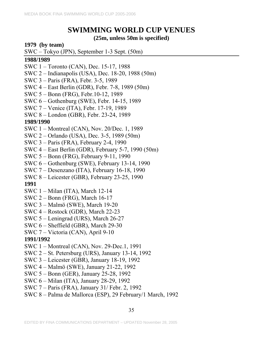# **SWIMMING WORLD CUP VENUES**

### **(25m, unless 50m is specified)**

### **1979 (by team)**

SWC – Tokyo (JPN), September 1-3 Sept. (50m)

### **1988/1989**

- SWC 1 Toronto (CAN), Dec. 15-17, 1988
- SWC 2 Indianapolis (USA), Dec. 18-20, 1988 (50m)
- SWC 3 Paris (FRA), Febr. 3-5, 1989
- SWC 4 East Berlin (GDR), Febr. 7-8, 1989 (50m)
- SWC 5 Bonn (FRG), Febr.10-12, 1989
- SWC 6 Gothenburg (SWE), Febr. 14-15, 1989
- SWC 7 Venice (ITA), Febr. 17-19, 1989
- SWC 8 London (GBR), Febr. 23-24, 1989

## **1989/1990**

- SWC 1 Montreal (CAN), Nov. 20/Dec. 1, 1989
- SWC 2 Orlando (USA), Dec. 3-5, 1989 (50m)
- SWC 3 Paris (FRA), February 2-4, 1990
- SWC 4 East Berlin (GDR), February 5-7, 1990 (50m)
- SWC 5 Bonn (FRG), February 9-11, 1990
- SWC 6 Gothenburg (SWE), February 13-14, 1990
- SWC 7 Desenzano (ITA), February 16-18, 1990
- SWC 8 Leicester (GBR), February 23-25, 1990

## **1991**

- SWC 1 Milan (ITA), March 12-14
- SWC 2 Bonn (FRG), March 16-17
- SWC 3 Malmö (SWE), March 19-20
- SWC 4 Rostock (GDR), March 22-23
- SWC 5 Leningrad (URS), March 26-27
- SWC 6 Sheffield (GBR), March 29-30
- SWC 7 Victoria (CAN), April 9-10

- SWC 1 Montreal (CAN), Nov. 29-Dec.1, 1991
- SWC 2 St. Petersburg (URS), January 13-14, 1992
- SWC 3 Leicester (GBR), January 18-19, 1992
- SWC 4 Malmö (SWE), January 21-22, 1992
- SWC 5 Bonn (GER), January 25-28, 1992
- SWC 6 Milan (ITA), January 28-29, 1992
- SWC 7 Paris (FRA), January 31/ Febr. 2, 1992
- SWC 8 Palma de Mallorca (ESP), 29 February/1 March, 1992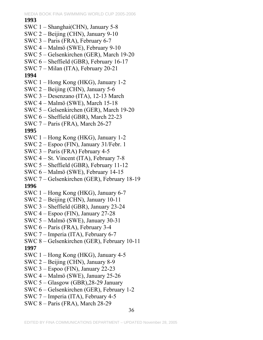MEDIA BOOK FINA SWIMMING WORLD CUP 2005-2006 36 **1993**  SWC 1 – Shanghai(CHN), January 5-8 SWC 2 – Beijing (CHN), January 9-10 SWC 3 – Paris (FRA), February 6-7 SWC 4 – Malmö (SWE), February 9-10 SWC 5 – Gelsenkirchen (GER), March 19-20 SWC 6 – Sheffield (GBR), February 16-17 SWC 7 – Milan (ITA), February 20-21 **1994**  SWC 1 – Hong Kong (HKG), January 1-2 SWC 2 – Beijing (CHN), January 5-6 SWC 3 – Desenzano (ITA), 12-13 March SWC 4 – Malmö (SWE), March 15-18 SWC 5 – Gelsenkirchen (GER), March 19-20 SWC 6 – Sheffield (GBR), March 22-23 SWC 7 – Paris (FRA), March 26-27 **1995**  SWC 1 – Hong Kong (HKG), January 1-2 SWC 2 – Espoo (FIN), January 31/Febr. 1 SWC 3 – Paris (FRA) February 4-5 SWC 4 – St. Vincent (ITA), February 7-8 SWC 5 – Sheffield (GBR), February 11-12 SWC 6 – Malmö (SWE), February 14-15 SWC 7 – Gelsenkirchen (GER), February 18-19 **1996**  SWC 1 – Hong Kong (HKG), January 6-7 SWC 2 – Beijing (CHN), January 10-11 SWC 3 – Sheffield (GBR), January 23-24 SWC 4 – Espoo (FIN), January 27-28 SWC 5 – Malmö (SWE), January 30-31 SWC 6 – Paris (FRA), February 3-4 SWC 7 – Imperia (ITA), February 6-7 SWC 8 – Gelsenkirchen (GER), February 10-11 **1997**  SWC 1 – Hong Kong (HKG), January 4-5 SWC 2 – Beijing (CHN), January 8-9 SWC 3 – Espoo (FIN), January 22-23 SWC 4 – Malmö (SWE), January 25-26 SWC 5 – Glasgow (GBR),28-29 January SWC 6 – Gelsenkirchen (GER), February 1-2 SWC 7 – Imperia (ITA), February 4-5 SWC 8 – Paris (FRA), March 28-29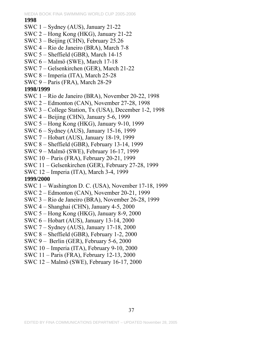## **1998**

- SWC 1 Sydney (AUS), January 21-22
- SWC 2 Hong Kong (HKG), January 21-22
- SWC 3 Beijing (CHN), February 25.26
- SWC 4 Rio de Janeiro (BRA), March 7-8
- SWC 5 Sheffield (GBR), March 14-15
- SWC 6 Malmö (SWE), March 17-18
- SWC 7 Gelsenkirchen (GER), March 21-22
- SWC 8 Imperia (ITA), March 25-28
- SWC 9 Paris (FRA), March 28-29

# **1998/1999**

- SWC 1 Rio de Janeiro (BRA), November 20-22, 1998
- SWC 2 Edmonton (CAN), November 27-28, 1998
- SWC 3 College Station, Tx (USA), December 1-2, 1998
- SWC 4 Beijing (CHN), January 5-6, 1999
- SWC 5 Hong Kong (HKG), January 9-10, 1999
- SWC 6 Sydney (AUS), January 15-16, 1999
- SWC 7 Hobart (AUS), January 18-19, 1999
- SWC 8 Sheffield (GBR), February 13-14, 1999
- SWC 9 Malmö (SWE), February 16-17, 1999
- SWC 10 Paris (FRA), February 20-21, 1999
- SWC 11 Gelsenkirchen (GER), February 27-28, 1999
- SWC 12 Imperia (ITA), March 3-4, 1999

- SWC 1 Washington D. C. (USA), November 17-18, 1999
- SWC 2 Edmonton (CAN), November 20-21, 1999
- SWC 3 Rio de Janeiro (BRA), November 26-28, 1999
- SWC 4 Shanghai (CHN), January 4-5, 2000
- SWC 5 Hong Kong (HKG), January 8-9, 2000
- SWC 6 Hobart (AUS), January 13-14, 2000
- SWC 7 Sydney (AUS), January 17-18, 2000
- SWC 8 Sheffield (GBR), February 1-2, 2000
- SWC 9 Berlin (GER), February 5-6, 2000
- SWC 10 Imperia (ITA), February 9-10, 2000
- SWC 11 Paris (FRA), February 12-13, 2000
- SWC 12 Malmö (SWE), February 16-17, 2000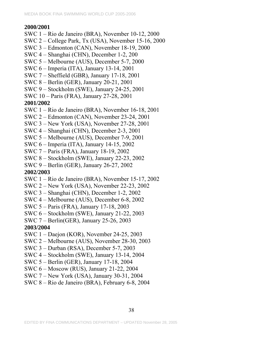## **2000/2001**

- SWC 1 Rio de Janeiro (BRA), November 10-12, 2000
- SWC 2 College Park, Tx (USA), November 15-16, 2000
- SWC 3 Edmonton (CAN), November 18-19, 2000
- SWC 4 Shanghai (CHN), December 1-2, 200
- SWC 5 Melbourne (AUS), December 5-7, 2000
- SWC 6 Imperia (ITA), January 13-14, 2001
- SWC 7 Sheffield (GBR), January 17-18, 2001
- SWC 8 Berlin (GER), January 20-21, 2001
- SWC 9 Stockholm (SWE), January 24-25, 2001
- SWC 10 Paris (FRA), January 27-28, 2001

# **2001/2002**

- SWC 1 Rio de Janeiro (BRA), November 16-18, 2001
- SWC 2 Edmonton (CAN), November 23-24, 2001
- SWC 3 New York (USA), November 27-28, 2001
- SWC 4 Shanghai (CHN), December 2-3, 2001
- SWC 5 Melbourne (AUS), December 7-9, 2001
- SWC 6 Imperia (ITA), January 14-15, 2002
- SWC 7 Paris (FRA), January 18-19, 2002
- SWC 8 Stockholm (SWE), January 22-23, 2002
- SWC 9 Berlin (GER), January 26-27, 2002

# **2002/2003**

- SWC 1 Rio de Janeiro (BRA), November 15-17, 2002
- SWC 2 New York (USA), November 22-23, 2002
- SWC 3 Shanghai (CHN), December 1-2, 2002
- SWC 4 Melbourne (AUS), December 6-8, 2002
- SWC 5 Paris (FRA), January 17-18, 2003
- SWC 6 Stockholm (SWE), January 21-22, 2003
- SWC 7 Berlin(GER), January 25-26, 2003

- SWC 1 Daejon (KOR), November 24-25, 2003
- SWC 2 Melbourne (AUS), November 28-30, 2003
- SWC 3 Durban (RSA), December 5-7, 2003
- SWC 4 Stockholm (SWE), January 13-14, 2004
- SWC 5 Berlin (GER), January 17-18, 2004
- SWC 6 Moscow (RUS), January 21-22, 2004
- SWC 7 New York (USA), January 30-31, 2004
- SWC 8 Rio de Janeiro (BRA), February 6-8, 2004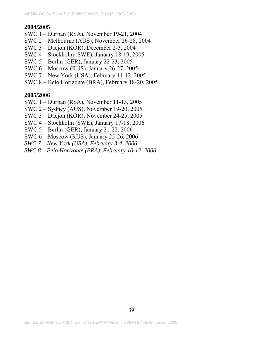### **2004/2005**

- SWC 1 Durban (RSA), November 19-21, 2004
- SWC 2 Melbourne (AUS), November 26-28, 2004
- SWC 3 Daejon (KOR), December 2-3, 2004
- SWC 4 Stockholm (SWE), January 18-19, 2005
- SWC 5 Berlin (GER), January 22-23, 2005
- SWC 6 Moscow (RUS), January 26-27, 2005
- SWC 7 New York (USA), February 11-12, 2005
- SWC 8 Belo Horizonte (BRA), February 18-20, 2005

- SWC 1 Durban (RSA), November 11-13, 2005
- SWC 2 Sydney (AUS), November 19-20, 2005
- SWC 3 Daejon (KOR), November 24-25, 2005
- SWC 4 Stockholm (SWE), January 17-18, 2006
- SWC 5 Berlin (GER), January 21-22, 2006
- SWC 6 Moscow (RUS), January 25-26, 2006
- *SWC 7 New York (USA), February 3-4, 2006*
- *SWC 8 Belo Horizonte (BRA), February 10-12, 2006*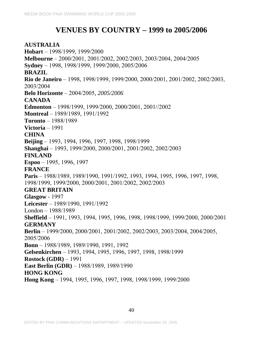# **VENUES BY COUNTRY – 1999 to 2005/2006**

**AUSTRALIA Hobart** – 1998/1999, 1999/2000 **Melbourne** – 2000/2001, 2001/2002, 2002/2003, 2003/2004, 2004/2005 **Sydney** – 1998, 1998/1999, 1999/2000, 2005/2006 **BRAZIL Rio de Janeiro** – 1998, 1998/1999, 1999/2000, 2000/2001, 2001/2002, 2002/2003, 2003/2004 **Belo Horizonte** – 2004/2005*, 2005/2006* **CANADA Edmonton** – 1998/1999, 1999/2000, 2000/2001, 2001//2002 **Montreal** – 1989/1989, 1991/1992 **Toronto** – 1988/1989 **Victoria** – 1991 **CHINA Beijing** – 1993, 1994, 1996, 1997, 1998, 1998/1999 **Shanghai** – 1993, 1999/2000, 2000/2001, 2001/2002, 2002/2003 **FINLAND Espoo** – 1995, 1996, 1997 **FRANCE Paris** – 1988/1989, 1989/1990, 1991/1992, 1993, 1994, 1995, 1996, 1997, 1998, 1998/1999, 1999/2000, 2000/2001, 2001/2002, 2002/2003 **GREAT BRITAIN Glasgow** - 1997 **Leicester** – 1989/1990, 1991/1992 London – 1988/1989 **Sheffield** – 1991, 1993, 1994, 1995, 1996, 1998, 1998/1999, 1999/2000, 2000/2001 **GERMANY Berlin** – 1999/2000, 2000/2001, 2001/2002, 2002/2003, 2003/2004, 2004/2005, 2005/2006 **Bonn** – 1988/1989, 1989/1990, 1991, 1992 **Gelsenkirchen** – 1993, 1994, 1995, 1996, 1997, 1998, 1998/1999 **Rostock (GDR)** – 1991 **East Berlin (GDR)** – 1988/1989, 1989/1990 **HONG KONG Hong Kong** – 1994, 1995, 1996, 1997, 1998, 1998/1999, 1999/2000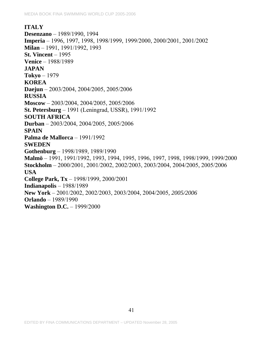### **ITALY**

**Desenzano** – 1989/1990, 1994 **Imperia** – 1996, 1997, 1998, 1998/1999, 1999/2000, 2000/2001, 2001/2002 **Milan** – 1991, 1991/1992, 1993 **St. Vincent** – 1995 **Venice** – 1988/1989 **JAPAN Tokyo** – 1979 **KOREA Daejun** – 2003/2004, 2004/2005, 2005/2006 **RUSSIA Moscow** – 2003/2004, 2004/2005, 2005/2006 **St. Petersburg** – 1991 (Leningrad, USSR), 1991/1992 **SOUTH AFRICA Durban** – 2003/2004, 2004/2005, 2005/2006 **SPAIN Palma de Mallorca** – 1991/1992 **SWEDEN Gothenburg** – 1998/1989, 1989/1990 **Malmö** – 1991, 1991/1992, 1993, 1994, 1995, 1996, 1997, 1998, 1998/1999, 1999/2000 **Stockholm** – 2000/2001, 2001/2002, 2002/2003, 2003/2004, 2004/2005, 2005/2006 **USA College Park, Tx** – 1998/1999, 2000/2001 **Indianapolis** – 1988/1989 **New York** – 2001/2002, 2002/2003, 2003/2004, 2004/2005*, 2005/2006* **Orlando** – 1989/1990 **Washington D.C.** – 1999/2000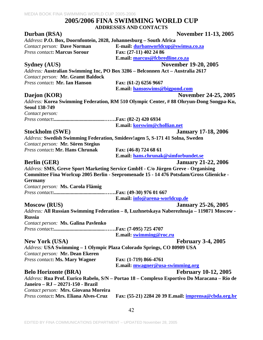## **2005/2006 FINA SWIMMING WORLD CUP ADDRESSES AND CONTACTS**

| Durban (RSA)                                                           | <b>November 11-13, 2005</b>                                                                 |
|------------------------------------------------------------------------|---------------------------------------------------------------------------------------------|
| Address: P.O. Box, Doornfontein, 2028, Johannesburg - South Africa     |                                                                                             |
| <b>Contact person: Dave Norman</b>                                     | E-mail: durbanworldcup@swimsa.co.za                                                         |
| <b>Press contact: Marcus Sorour</b>                                    | Fax: (27-11) 402 24 86                                                                      |
|                                                                        | E.mail: marcus@fcbredline.co.za                                                             |
| <b>Sydney (AUS)</b>                                                    | <b>November 19-20, 2005</b>                                                                 |
|                                                                        | Address: Australian Swimming Inc, PO Box 3286 - Belconnen Act - Australia 2617              |
| Contact person: Mr. Gramt Baldock                                      |                                                                                             |
| Press contact: Mr. Ian Hanson                                          | Fax: (61-2) 6256 9667                                                                       |
|                                                                        | E.mail: hansoswims@bigpond.com                                                              |
| Daejon (KOR)                                                           | November 24-25, 2005                                                                        |
|                                                                        | Address: Korea Swimming Federation, RM 510 Olympic Center, #88 Ohryun-Dong Songpa-Ku,       |
| <b>Seoul 138-749</b>                                                   |                                                                                             |
| Contact person:                                                        |                                                                                             |
|                                                                        |                                                                                             |
|                                                                        | E.mail: korswim@chollian.net                                                                |
| Stockholm (SWE)                                                        | <b>January 17-18, 2006</b>                                                                  |
|                                                                        | Address: Swedish Swimming Federation, Smidesvlagen 5, S-171 41 Solna, Sweden                |
| Contact person: Mr. Sören Stegius                                      |                                                                                             |
| Press contact: Mr. Hans Chrunak                                        | Fax: (46-8) 724 68 61                                                                       |
|                                                                        | E.mail: hans.chrunak@simforbundet.se                                                        |
| <b>Berlin</b> (GER)                                                    | <b>January 21-22, 2006</b>                                                                  |
|                                                                        | Address: SMS, Greve Sport Marketing Service GmbH - C/o Jürgen Greve - Organising            |
|                                                                        | Committee Fina Worlcup 2005 Berlin - Seepromenade 15 - 14 476 Potsdam/Gross Glienicke -     |
| <b>Germany</b>                                                         |                                                                                             |
| Contact person: Ms. Carola Flämig                                      |                                                                                             |
|                                                                        |                                                                                             |
|                                                                        | E.mail: info@arena-worldcup.de                                                              |
| <b>Moscow (RUS)</b>                                                    | <b>January 25-26, 2005</b>                                                                  |
|                                                                        | Address: All Russian Swimming Federation - 8, Luzhnetskaya Naberezhnaja - 119871 Moscow -   |
| <b>Russia</b>                                                          |                                                                                             |
| Contact person: Ms. Galina Pavlenko                                    |                                                                                             |
|                                                                        | Fax: (7-095) 725 4707                                                                       |
|                                                                        | E.mail: swimming@roc.ru                                                                     |
| <b>New York (USA)</b>                                                  | <b>February 3-4, 2005</b>                                                                   |
| Address: USA Swimming - 1 Olympic Plaza Colorado Springs, CO 80909 USA |                                                                                             |
| Contact person: Mr. Dean Ekeren                                        |                                                                                             |
| <b>Press contact: Ms. Mary Wagner</b>                                  | Fax: (1-719) 866-4761                                                                       |
|                                                                        | E.mail: mwagner@usa-swimming.org                                                            |
| <b>Belo Horizonte (BRA)</b>                                            | <b>February 10-12, 2005</b>                                                                 |
|                                                                        | Address: Rua Prof. Eurico Rabelo, S/N - Portao 18 - Complexo Esportivo Do Maracana - Rio de |
| Janeiro - RJ - 20271-150 - Brazil                                      |                                                                                             |
| Contact person: Mrs. Giovana Moreira                                   |                                                                                             |
| Press contact: Mrs. Eliana Alves-Cruz                                  | Fax: (55-21) 2284 20 39 E.mail: imprensa@cbda.org.br                                        |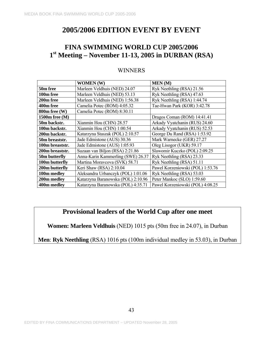# **FINA SWIMMING WORLD CUP 2005/2006 1st Meeting – November 11-13, 2005 in DURBAN (RSA)**

# WINNERS

|                 | <b>WOMEN (W)</b>                   | <b>MEN</b> (M)                   |
|-----------------|------------------------------------|----------------------------------|
| 50m free        | Marleen Veldhuis (NED) 24.07       | Ryk Neethling (RSA) 21.56        |
| 100m free       | Marleen Veldhuis (NED) 53.13       | Ryk Neethling (RSA) 47.63        |
| 200m free       | Marleen Veldhuis (NED) 1:56.38     | Ryk Neethling (RSA) 1:44.74      |
| 400m free       | Camelia Potec (ROM) 4:05.32        | Tae-Hwan Park (KOR) 3:42.78      |
| 800m free (W)   | Camelia Potec (ROM) 8:30.11        |                                  |
| 1500m free (M)  |                                    | Dragos Coman (ROM) 14:41.41      |
| 50m backstr.    | Xianmin Hou (CHN) 28.57            | Arkady Vyatchanin (RUS) 24.60    |
| 100m backstr.   | Xianmin Hou (CHN) 1:00.54          | Arkady Vyatchanin (RUS) 52.53    |
| 200m backstr.   | Katarzyna Staszak (POL) 2:10.57    | George Du Rand (RSA) 1:53.92     |
| 50m breaststr.  | Jade Edmistone (AUS) 30.36         | Mark Warnecke (GER) 27.27        |
| 100m breaststr. | Jade Edmistone (AUS) 1:05.93       | Oleg Lisogor (UKR) 59.17         |
| 200m breaststr. | Suzaan van Biljon (RSA) 2:21.86    | Slawomir Kuczko (POL) 2:09.25    |
| 50m butterfly   | Anna-Karin Kammerling (SWE) 26.37  | Ryk Neethling (RSA) 23.33        |
| 100m butterfly  | Martina Moravcova (SVK) 58.71      | Ryk Neethling (RSA) 51.11        |
| 200m butterfly  | Keri Shaw (RSA) 2:10.04            | Pawel Korzeniowski (POL) 1:53.76 |
| 100m medley     | Aleksandra Urbanczyk (POL) 1:01.06 | Ryk Neethling (RSA) 53.03        |
| 200m medley     | Katarzyna Baranowska (POL) 2:10.96 | Peter Mankoc (SLO) 1:59.60       |
| 400m medley     | Katarzyna Baranowska (POL) 4:35.71 | Pawel Korzeniowski (POL) 4:08.25 |

# **Provisional leaders of the World Cup after one meet**

**Women: Marleen Veldhuis** (NED) 1015 pts (50m free in 24.07), in Durban

**Men**: **Ryk Neethling** (RSA) 1016 pts (100m individual medley in 53.03), in Durban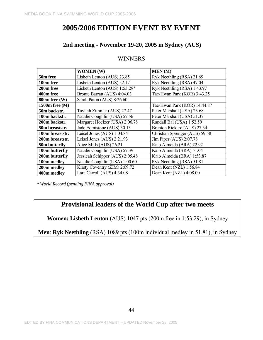## **2nd meeting - November 19-20, 2005 in Sydney (AUS)**

## WINNERS

|                   | <b>WOMEN</b> (W)                | <b>MEN</b> (M)                 |
|-------------------|---------------------------------|--------------------------------|
| 50m free          | Lisbeth Lenton (AUS) 23.85      | Ryk Neethling (RSA) 21.69      |
| 100m free         | Lisbeth Lenton (AUS) 52.17      | Ryk Neethling (RSA) 47.04      |
| 200m free         | Lisbeth Lenton (AUS) $1:53.29*$ | Ryk Neethling (RSA) 1:43.97    |
| 400m free         | Bronte Barratt (AUS) 4:04.03    | Tae-Hwan Park (KOR) 3:43.25    |
| $800m$ free $(W)$ | Sarah Paton (AUS) 8:26.60       |                                |
| 1500m free (M)    |                                 | Tae-Hwan Park (KOR) 14:44.87   |
| 50m backstr.      | Tayliah Zimmer (AUS) 27.47      | Peter Marshall (USA) 23.68     |
| 100m backstr.     | Natalie Coughlin (USA) 57.56    | Peter Marshall (USA) 51.37     |
| 200m backstr.     | Margaret Hoelzer (USA) 2:06.78  | Randall Bal (USA) 1:52.59      |
| 50m breaststr.    | Jade Edmistone (AUS) 30.13      | Brenton Rickard (AUS) 27.34    |
| 100m breaststr.   | Leisel Jones (AUS) 1:04.84      | Christian Sprenger (AUS) 59.58 |
| 200m breaststr.   | Leisel Jones (AUS) 2:21.93      | Jim Piper (AUS) 2:07.78        |
| 50m butterfly     | Alice Mills (AUS) 26.21         | Kaio Almeida (BRA) 22.92       |
| 100m butterfly    | Natalie Coughlin (USA) 57.39    | Kaio Almeida (BRA) 51.04       |
| 200m butterfly    | Jessicah Schipper (AUS) 2:05.48 | Kaio Almeida (BRA) 1:53.87     |
| 100m medley       | Natalie Coughlin (USA) 1:00.60  | Ryk Neethling (RSA) 51.81      |
| 200m medley       | Kirsty Coventry (ZIM) 2:09.72   | Dean Kent (NZL) 1:56.84        |
| 400m medley       | Lara Carroll (AUS) 4:34.08      | Dean Kent (NZL) 4:08.00        |

*\* World Record (pending FINA approval)* 

# **Provisional leaders of the World Cup after two meets**

**Women: Lisbeth Lenton** (AUS) 1047 pts (200m free in 1:53.29), in Sydney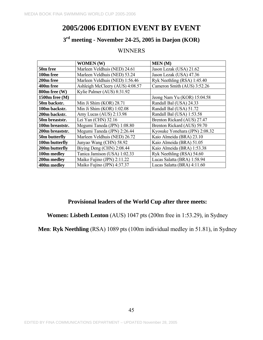# **3rd meeting - November 24-25, 2005 in Daejon (KOR)**

# **WINNERS**

|                 | <b>WOMEN</b> (W)                | <b>MEN</b> (M)                 |
|-----------------|---------------------------------|--------------------------------|
| 50m free        | Marleen Veldhuis (NED) 24.61    | Jason Lezak (USA) 21.62        |
| 100m free       | Marleen Veldhuis (NED) 53.24    | Jason Lezak (USA) 47.36        |
| 200m free       | Marleen Veldhuis (NED) 1:56.46  | Ryk Neethling (RSA) 1:45.40    |
| 400m free       | Ashleigh McCleery (AUS) 4:08.57 | Cameron Smith (AUS) 3:52.26    |
| 800m free (W)   | Kylie Palmer (AUS) 8:31.92      |                                |
| 1500m free (M)  |                                 | Jeong Nam Yu (KOR) 15:04.58    |
| 50m backstr.    | Min Ji Shim (KOR) 28.71         | Randall Bal (USA) 24.33        |
| 100m backstr.   | Min Ji Shim (KOR) 1:02.08       | Randall Bal (USA) 51.72        |
| 200m backstr.   | Amy Lucas (AUS) 2:13.98         | Randall Bal (USA) 1:53.58      |
| 50m breaststr.  | Lei Yan (CHN) 32.16             | Brenton Rickard (AUS) 27.47    |
| 100m breaststr. | Megumi Taneda (JPN) 1:08.80     | Brenton Rickard (AUS) 59.70    |
| 200m breaststr. | Megumi Taneda (JPN) 2:26.44     | Kyosuke Yonehara (JPN) 2:08.32 |
| 50m butterfly   | Marleen Veldhuis (NED) 26.72    | Kaio Almeida (BRA) 23.10       |
| 100m butterfly  | Junyao Wang (CHN) 58.92         | Kaio Almeida (BRA) 51.05       |
| 200m butterfly  | Biying Deng (CHN) 2:08.44       | Kaio Almeida (BRA) 1:53.38     |
| 100m medley     | Tanica Jamison (USA) 1:02.33    | Ryk Neethling (RSA) 54.60      |
| 200m medley     | Maiko Fujino (JPN) 2:11.22      | Lucas Salatta (BRA) 1:58.94    |
| 400m medley     | Maiko Fujino (JPN) 4:37.37      | Lucas Salatta (BRA) 4:11.60    |

## **Provisional leaders of the World Cup after three meets:**

**Women: Lisbeth Lenton** (AUS) 1047 pts (200m free in 1:53.29), in Sydney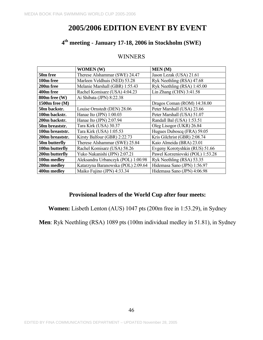# **4th meeting - January 17-18, 2006 in Stockholm (SWE)**

### WINNERS

|                   | <b>WOMEN</b> (W)                                              | MEN(M)                           |  |  |
|-------------------|---------------------------------------------------------------|----------------------------------|--|--|
| 50m free          | Therese Alshammar (SWE) 24.47                                 | Jason Lezak (USA) 21.61          |  |  |
| 100m free         | Marleen Veldhuis (NED) 53.28                                  | Ryk Neethling (RSA) 47.68        |  |  |
| 200m free         | Melanie Marshall (GBR) 1:55.43                                | Ryk Neethling (RSA) 1:45.00      |  |  |
| 400m free         | Rachel Komisarz (USA) 4:04.23                                 | Lin Zhang (CHN) 3:41.58          |  |  |
| $800m$ free $(W)$ | Ai Shibata (JPN) 8:22.38                                      |                                  |  |  |
| 1500m free (M)    | Dragos Coman (ROM) 14:38.00                                   |                                  |  |  |
| 50m backstr.      | Louise Ornstedt (DEN) 28.06                                   | Peter Marshall (USA) 23.66       |  |  |
| 100m backstr.     | Peter Marshall (USA) 51.07<br>Hanae Ito (JPN) 1:00.03         |                                  |  |  |
| 200m backstr.     | Hanae Ito (JPN) 2:07.94                                       | Randall Bal (USA) 1:53.51        |  |  |
| 50m breaststr.    | Tara Kirk (USA) 30.37                                         | Oleg Lisogor (UKR) 26.84         |  |  |
| 100m breaststr.   | Tara Kirk (USA) 1:05.53                                       | Hugues Duboscq (FRA) 59.05       |  |  |
| 200m breaststr.   | Kirsty Balfour (GBR) 2:22.73                                  | Kris Gilchrist (GBR) 2:08.74     |  |  |
| 50m butterfly     | Therese Alshammar (SWE) 25.84<br>Kaio Almeida (BRA) 23.01     |                                  |  |  |
| 100m butterfly    | Evgeny Korotyshkin (RUS) 51.66<br>Rachel Komisarz (USA) 58.26 |                                  |  |  |
| 200m butterfly    | Yuko Nakanishi (JPN) 2:07.21                                  | Pawel Korzeniovski (POL) 1:53.28 |  |  |
| 100m medley       | Aleksandra Urbanczyk (POL) 1:00.98                            | Ryk Neethling (RSA) 53.35        |  |  |
| 200m medley       | Katarzyna Baranowska (POL) 2:09.64                            | Hidemasa Sano (JPN) 1:56.97      |  |  |
| 400m medley       | Maiko Fujino (JPN) 4:33.34<br>Hidemasa Sano (JPN) 4:06.98     |                                  |  |  |

# **Provisional leaders of the World Cup after four meets:**

**Women:** Lisbeth Lenton (AUS) 1047 pts (200m free in 1:53.29), in Sydney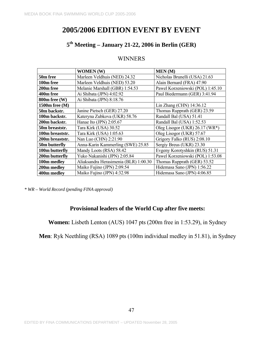# **5th Meeting – January 21-22, 2006 in Berlin (GER)**

## WINNERS

|                 | <b>WOMEN</b> (W)                      | <b>MEN</b> (M)                   |  |  |
|-----------------|---------------------------------------|----------------------------------|--|--|
| 50m free        | Marleen Veldhuis (NED) 24.32          | Nicholas Brunelli (USA) 21.63    |  |  |
| 100m free       | Marleen Veldhuis (NED) 53.20          | Alain Bernard (FRA) 47.90        |  |  |
| 200m free       | Melanie Marshall (GBR) 1:54.53        | Pawel Korzeniowski (POL) 1:45.10 |  |  |
| 400m free       | Ai Shibata (JPN) 4:02.92              | Paul Biedermann (GER) 3:41.94    |  |  |
| 800m free (W)   | Ai Shibata (JPN) 8:18.76              |                                  |  |  |
| 1500m free (M)  |                                       | Lin Zhang (CHN) $14:36.12$       |  |  |
| 50m backstr.    | Janine Pietsch (GER) 27.20            | Thomas Rupprath (GER) 23.59      |  |  |
| 100m backstr.   | Kateryna Zubkova (UKR) 58.76          | Randall Bal (USA) 51.41          |  |  |
| 200m backstr.   | Hanae Ito (JPN) $2:05.67$             | Randall Bal (USA) 1:52.53        |  |  |
| 50m breaststr.  | Tara Kirk (USA) 30.52                 | Oleg Lisogor (UKR) 26.17 (WR*)   |  |  |
| 100m breaststr. | Tara Kirk (USA) 1:05.63               | Oleg Lisogor (UKR) 57.67         |  |  |
| 200m breaststr. | Nan Luo (CHN) 2:21.90                 | Grigory Falko (RUS) 2:08.10      |  |  |
| 50m butterfly   | Anna-Karin Kammerling (SWE) 25.85     | Sergiy Breus (UKR) 23.30         |  |  |
| 100m butterfly  | Mandy Loots (RSA) 58.42               | Evgeny Korotyshkin (RUS) 51.31   |  |  |
| 200m butterfly  | Yuko Nakanishi (JPN) 2:05.84          | Pawel Korzeniowski (POL) 1:53.08 |  |  |
| 100m medley     | Aliaksandra Herasimenia (BLR) 1:00.30 | Thomas Rupprath (GER) 53.52      |  |  |
| 200m medley     | Maiko Fujino (JPN) 2:09.54            | Hidemasa Sano (JPN) 1:56.22      |  |  |
| 400m medley     | Maiko Fujino (JPN) 4:32.98            | Hidemasa Sano (JPN) 4:06.85      |  |  |

*\* WR – World Record (pending FINA approval)* 

## **Provisional leaders of the World Cup after five meets:**

**Women:** Lisbeth Lenton (AUS) 1047 pts (200m free in 1:53.29), in Sydney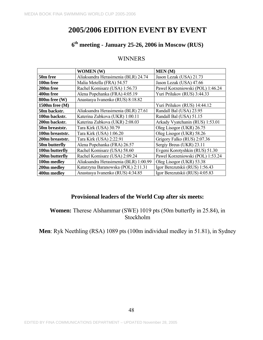# **6th meeting - January 25-26, 2006 in Moscow (RUS)**

## WINNERS

|                                                 | <b>WOMEN</b> (W)                      | <b>MEN</b> (M)                   |  |  |
|-------------------------------------------------|---------------------------------------|----------------------------------|--|--|
| 50m free                                        | Aliaksandra Herasimenia (BLR) 24.74   | Jason Lezak (USA) 21.73          |  |  |
| 100m free                                       | Malia Metella (FRA) 54.57             | Jason Lezak (USA) 47.66          |  |  |
| 200m free                                       | Rachel Komisarz (USA) 1:56.73         | Pawel Korzeniowski (POL) 1:46.24 |  |  |
| 400m free                                       | Alena Popchanka (FRA) 4:05.19         | Yuri Prilukov (RUS) 3:44.33      |  |  |
| $800m$ free $(W)$                               | Anastasya Ivanenko (RUS) 8:18.82      |                                  |  |  |
| 1500m free (M)                                  |                                       | Yuri Prilukov (RUS) 14:44.12     |  |  |
| 50m backstr.                                    | Aliaksandra Herasimenia (BLR) 27.61   | Randall Bal (USA) 23.95          |  |  |
| Katerina Zubkova (UKR) 1:00.11<br>100m backstr. |                                       | Randall Bal (USA) 51.15          |  |  |
| 200m backstr.<br>Katerina Zubkova (UKR) 2:08.03 |                                       | Arkady Vyatchanin (RUS) 1:53.01  |  |  |
| Tara Kirk (USA) 30.79<br>50m breaststr.         |                                       | Oleg Lisogor (UKR) 26.75         |  |  |
| Tara Kirk (USA) 1:06.20<br>100m breaststr.      |                                       | Oleg Lisogor (UKR) 58.26         |  |  |
| Tara Kirk (USA) 2:22.91<br>200m breaststr.      |                                       | Grigory Falko (RUS) 2:07.36      |  |  |
| 50m butterfly                                   | Alena Popchanka (FRA) 26.57           | Sergiy Breus (UKR) 23.11         |  |  |
| 100m butterfly                                  | Rachel Komisarz (USA) 58.60           | Evgeni Korotyshkin (RUS) 51.30   |  |  |
| 200m butterfly                                  | Rachel Komisarz (USA) 2:09.24         | Pawel Korzeniowski (POL) 1:53.24 |  |  |
| 100m medley                                     | Aliaksandra Herasimenia (BLR) 1:00.99 | Oleg Lisogor (UKR) 53.38         |  |  |
| 200m medley                                     | Katarzyna Baranowska (POL) 2:11.31    | Igor Berezutskii (RUS) 1:56.43   |  |  |
| 400m medley                                     | Anastasya Ivanenko (RUS) 4:34.85      | Igor Berezutskii (RUS) 4:05.83   |  |  |

## **Provisional leaders of the World Cup after six meets:**

**Women:** Therese Alshammar (SWE) 1019 pts (50m butterfly in 25.84), in Stockholm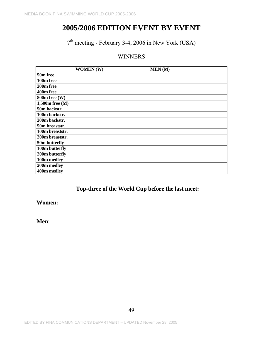# $7<sup>th</sup> meeting - February 3-4, 2006 in New York (USA)$

# WINNERS

|                    | <b>WOMEN</b> (W) | MEN(M) |
|--------------------|------------------|--------|
| 50m free           |                  |        |
| 100m free          |                  |        |
| 200m free          |                  |        |
| 400m free          |                  |        |
| $800m$ free $(W)$  |                  |        |
| $1,500$ m free (M) |                  |        |
| 50m backstr.       |                  |        |
| 100m backstr.      |                  |        |
| 200m backstr.      |                  |        |
| 50m breaststr.     |                  |        |
| 100m breaststr.    |                  |        |
| 200m breaststr.    |                  |        |
| 50m butterfly      |                  |        |
| 100m butterfly     |                  |        |
| 200m butterfly     |                  |        |
| 100m medley        |                  |        |
| 200m medley        |                  |        |
| 400m medley        |                  |        |

# **Top-three of the World Cup before the last meet:**

**Women:**

**Men**: